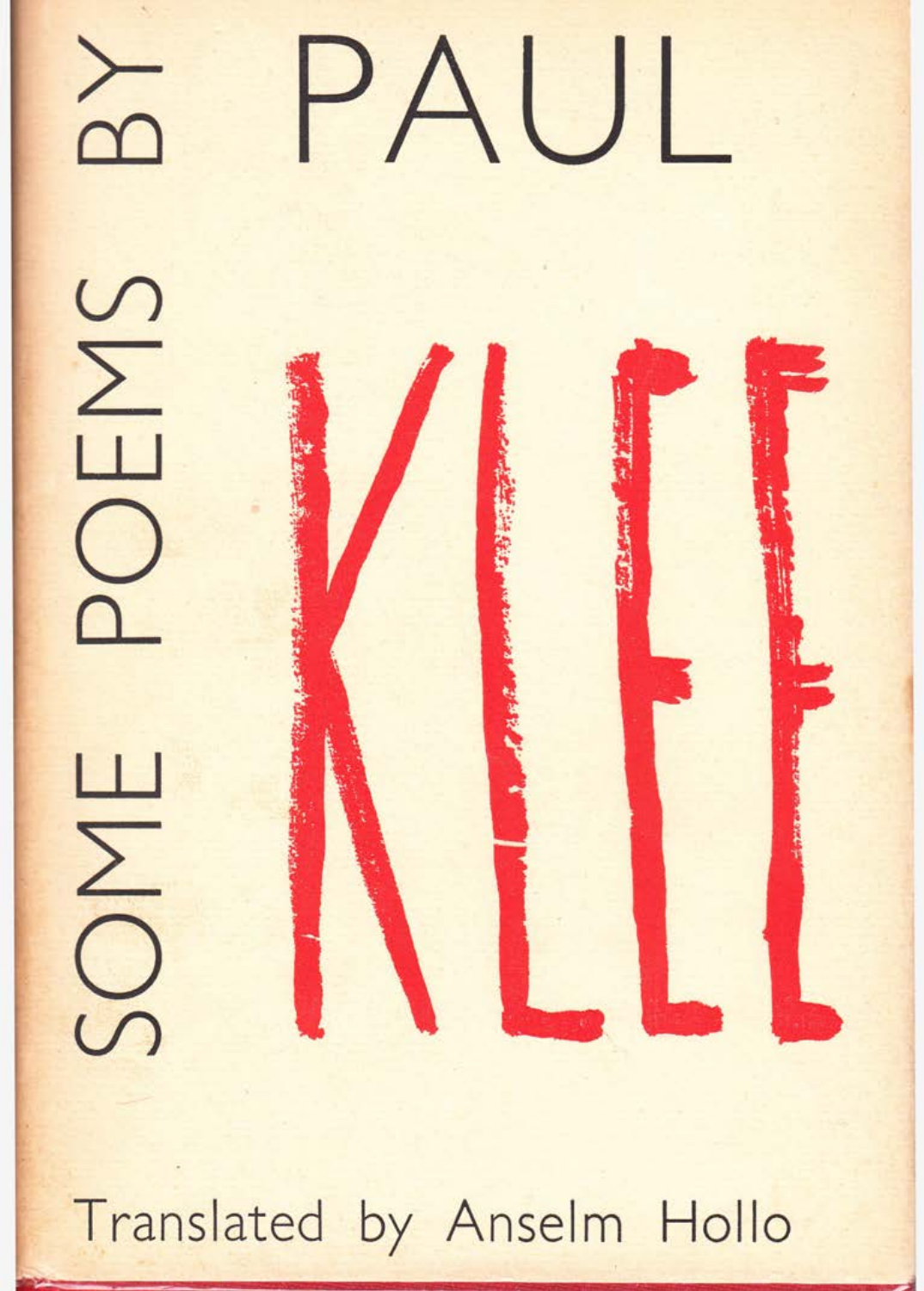

Translated by Anselm Hollo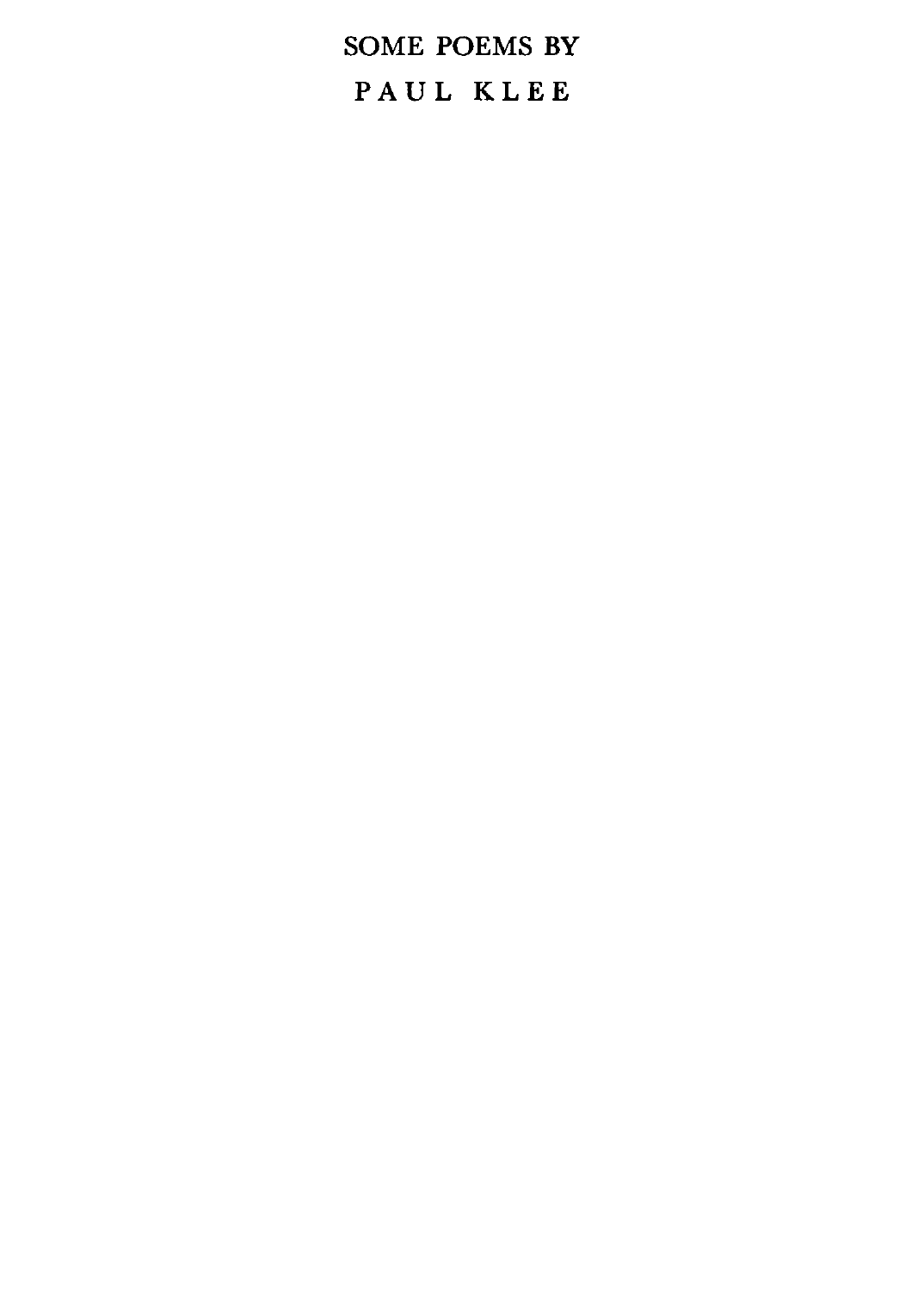SOME POEMS BY PAUL KLEE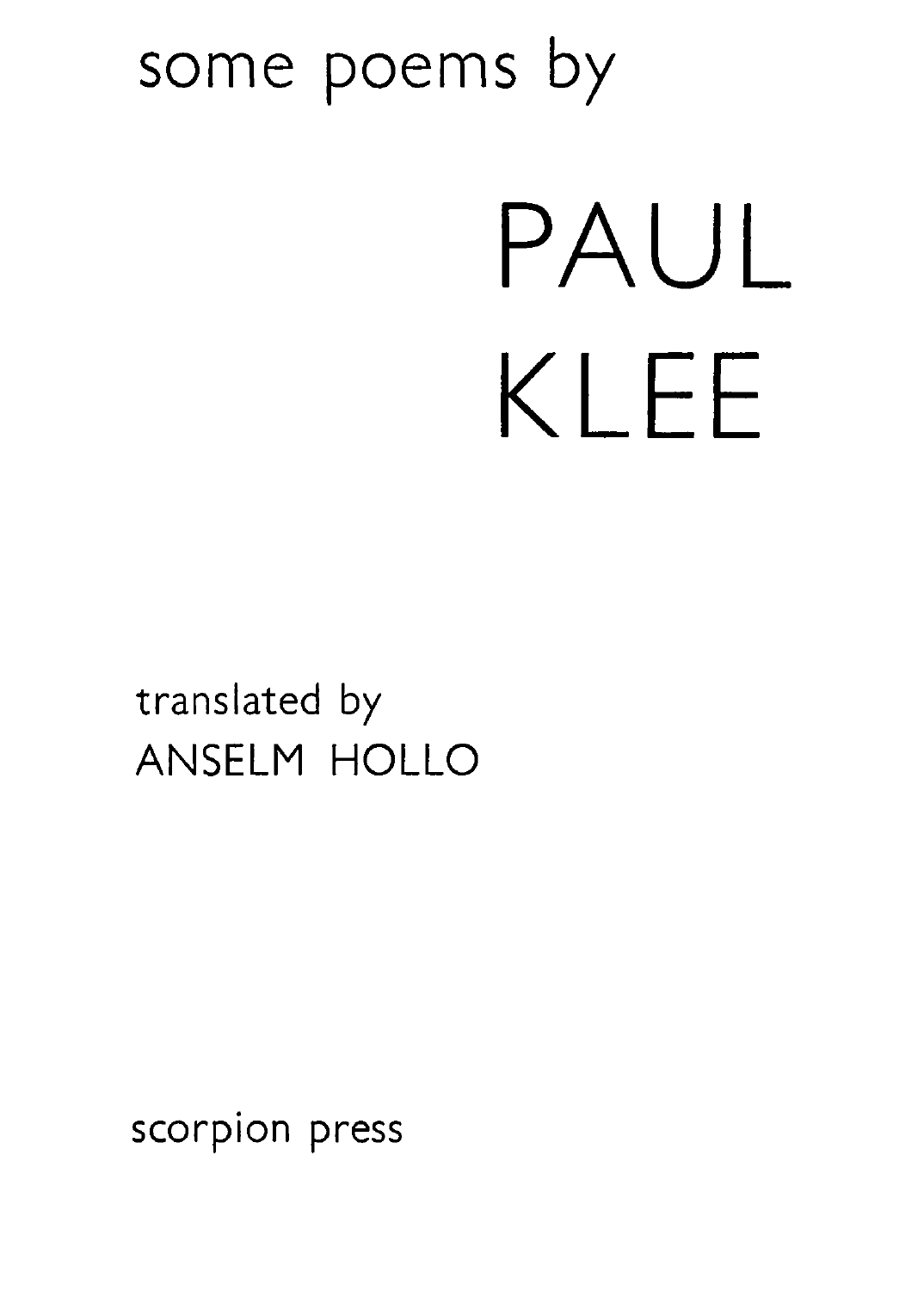### ANSELM HOLLO

## translated by

# PAUL KLEE

### some poems by

scorpion press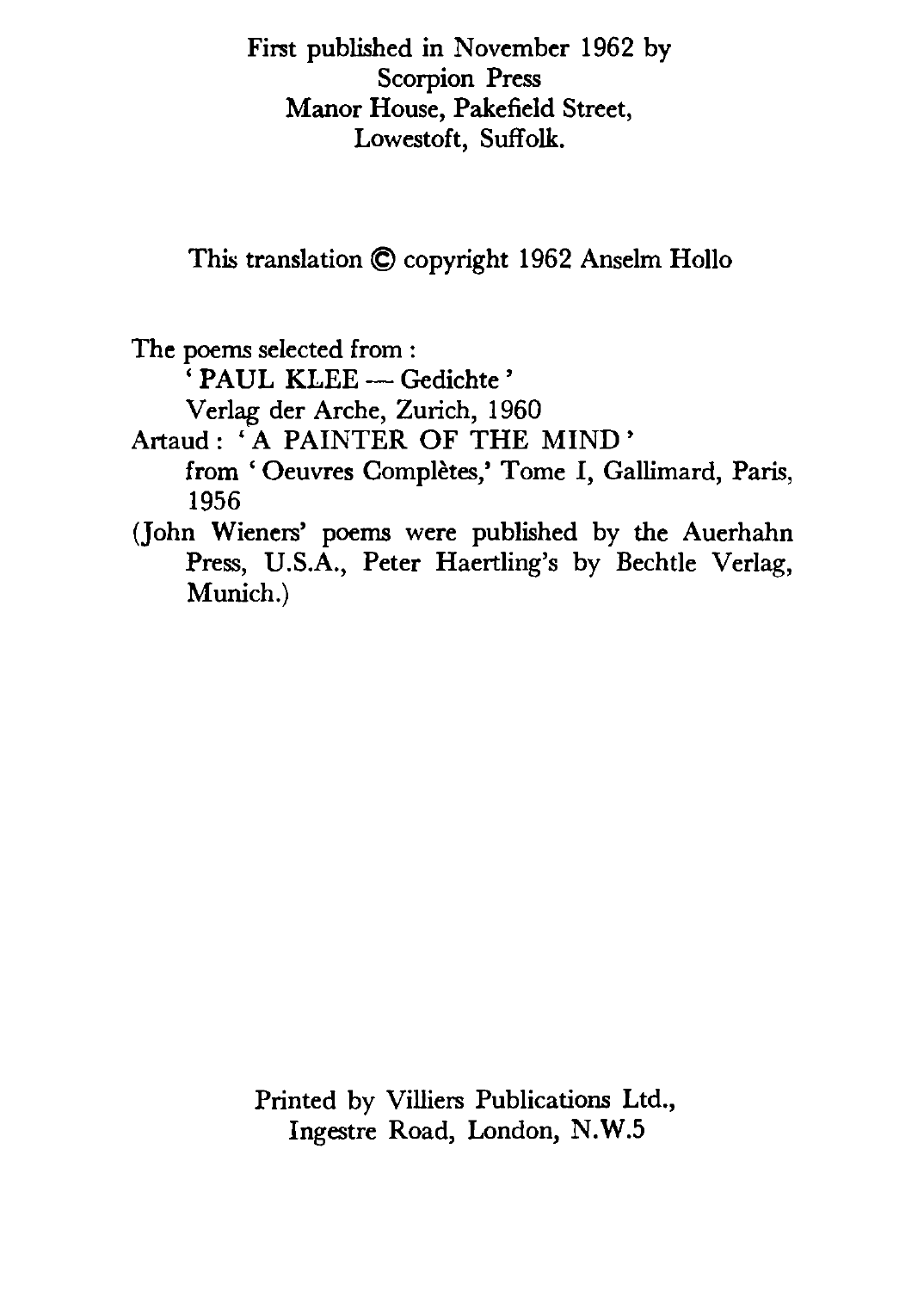First published in November 1962 by Scorpion Press Manor House, Pakefield Street, Lowestoft, Suffolk.

This translation © copyright 1962 Anselm Hollo

The poems selected from :

' PAUL KLEE - Gedichte'

Verlag der Arche, Zurich, 1960

Artaud: 'A PAINTER OF THE MIND' from 'Oeuvres Complètes,' Tome I, Gallimard, Paris, 1956

(John Wieners' poems were published by the Auerhahn Press, U.S.A., Peter Haertling's by Bechtle Verlag, Munich.)

> Printed by Villiers Publications Ltd., Ingestre Road, London, N. W .5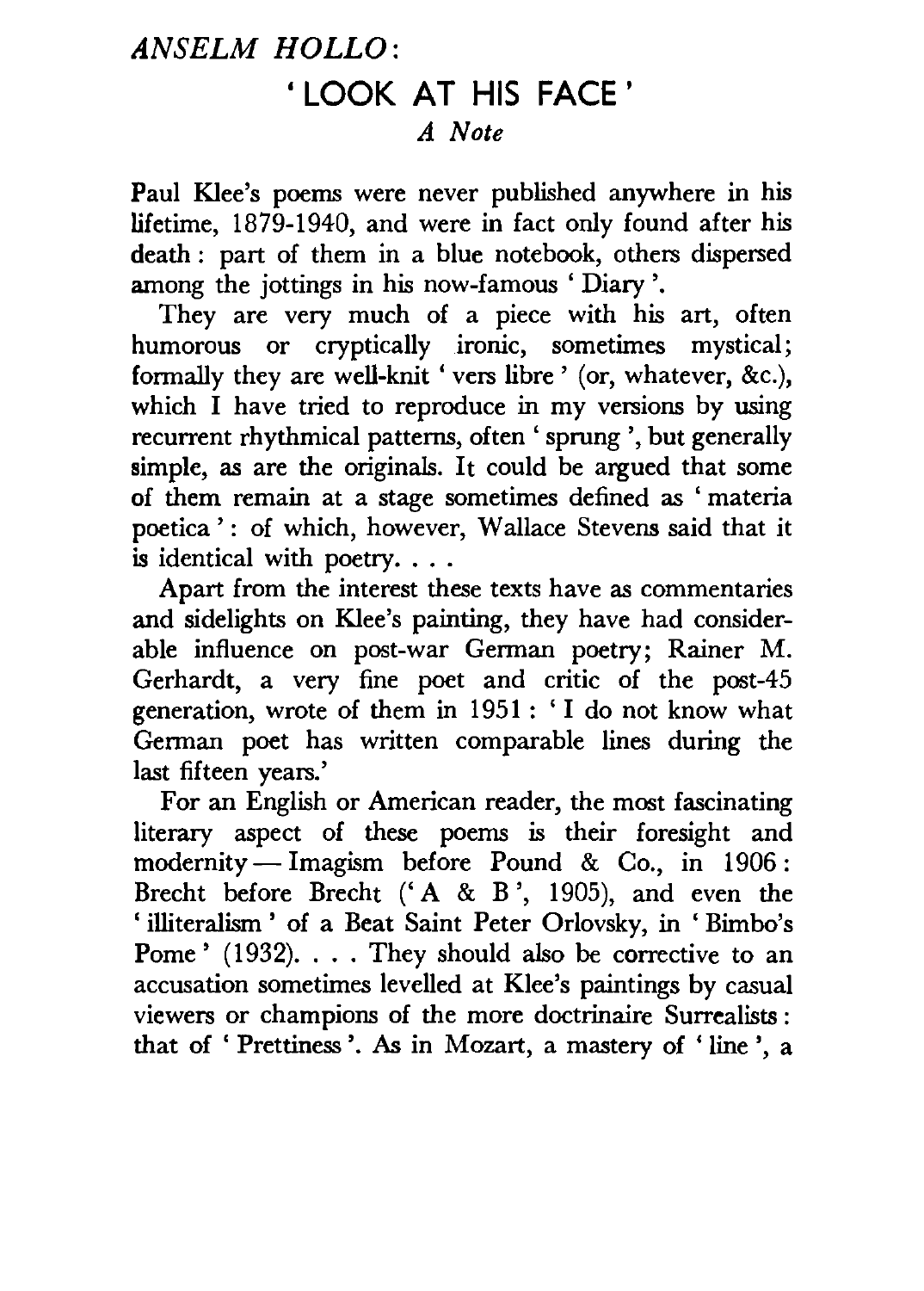#### *ANSELM HOLLO:*  • LOOK AT HIS FACE ' *A Note*

Paul Klee's poems were never published anywhere in his lifetime, 1879-1940, and were in fact only found after his death : part of them in a blue notebook, others dispersed among the jottings in his now-famous ' Diary '.

They are very much of a piece with his art, often humorous or cryptically ironic, sometimes mystical; formally they are well-knit 'vers libre' (or, whatever, &c.), which I have tried to reproduce in my versions by using recurrent rhythmical patterns, often ' sprung ', but generally simple, as are the originals. It could be argued that some of them remain at a stage sometimes defined as ' materia poetica': of which, however, Wallace Stevens said that it is identical with poetry....

Apart from the interest these texts have as commentaries and sidelights on Klee's painting, they have had considerable influence on post-war German poetry; Rainer M. Gerhardt, a very fine poet and critic of the post-45 generation, wrote of them in 1951 : ' I do not know what German poet has written comparable lines during the last fifteen years.'

For an English or American reader, the most fascinating literary aspect of these poems is their foresight and  $mod$ ernity - Imagism before Pound & Co., in 1906: Brecht before Brecht  $(A \& B', 1905)$ , and even the 'illiteralism' of a Beat Saint Peter Orlovsky, in 'Bimbo's Pome' (1932). . . . They should also be corrective to an accusation sometimes levelled at Klee's paintings by casual viewers or champions of the more doctrinaire Surrealists : that of ' Prettiness '. As in Mozart, a mastery of ' line ', a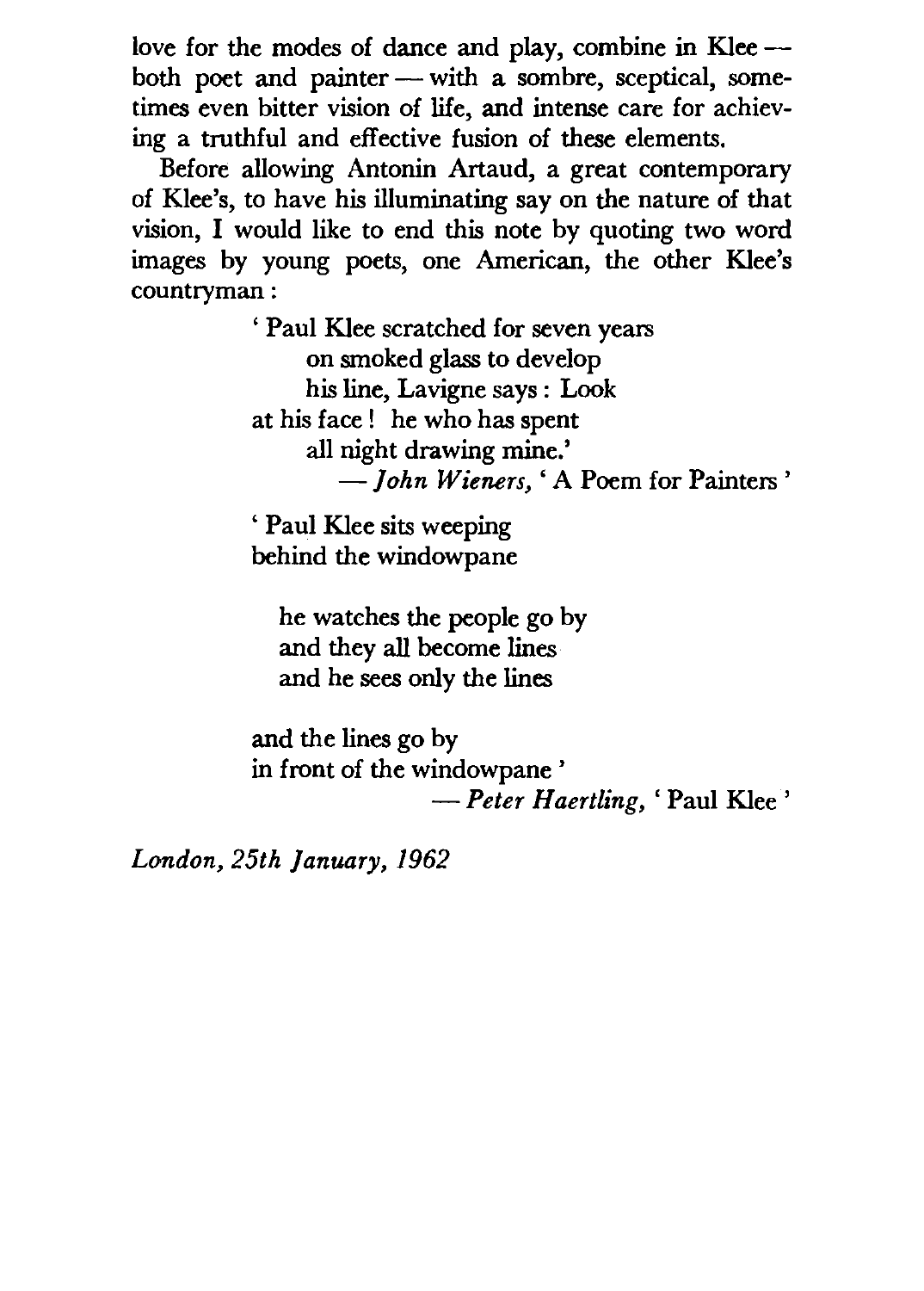love for the modes of dance and play, combine in  $Klee$  -both poet and painter - with a sombre, sceptical, sometimes even bitter vision of life, and intense care for achieving a truthful and effective fusion of these elements.

Before allowing Antonin Artaud, a great contemporary of Klee's, to have his illuminating say on the nature of that vision, I would like to end this note by quoting two word images by young poets, one American, the other Klee's countryman :

> ' Paul Klee scratched for seven years on smoked glass to develop his line, Lavigne says : Look at his face ! he who has spent all night drawing mine.' *-john Wieners,'* A Poem for Painters'

' Paul Klee sits weeping behind the windowpane

he watches the people go by and they all become lines and he sees only the lines

and the lines go by in front of the windowpane ' *-Peter H aertling,* ' Paul Klee '

*London, 25th January, 1962*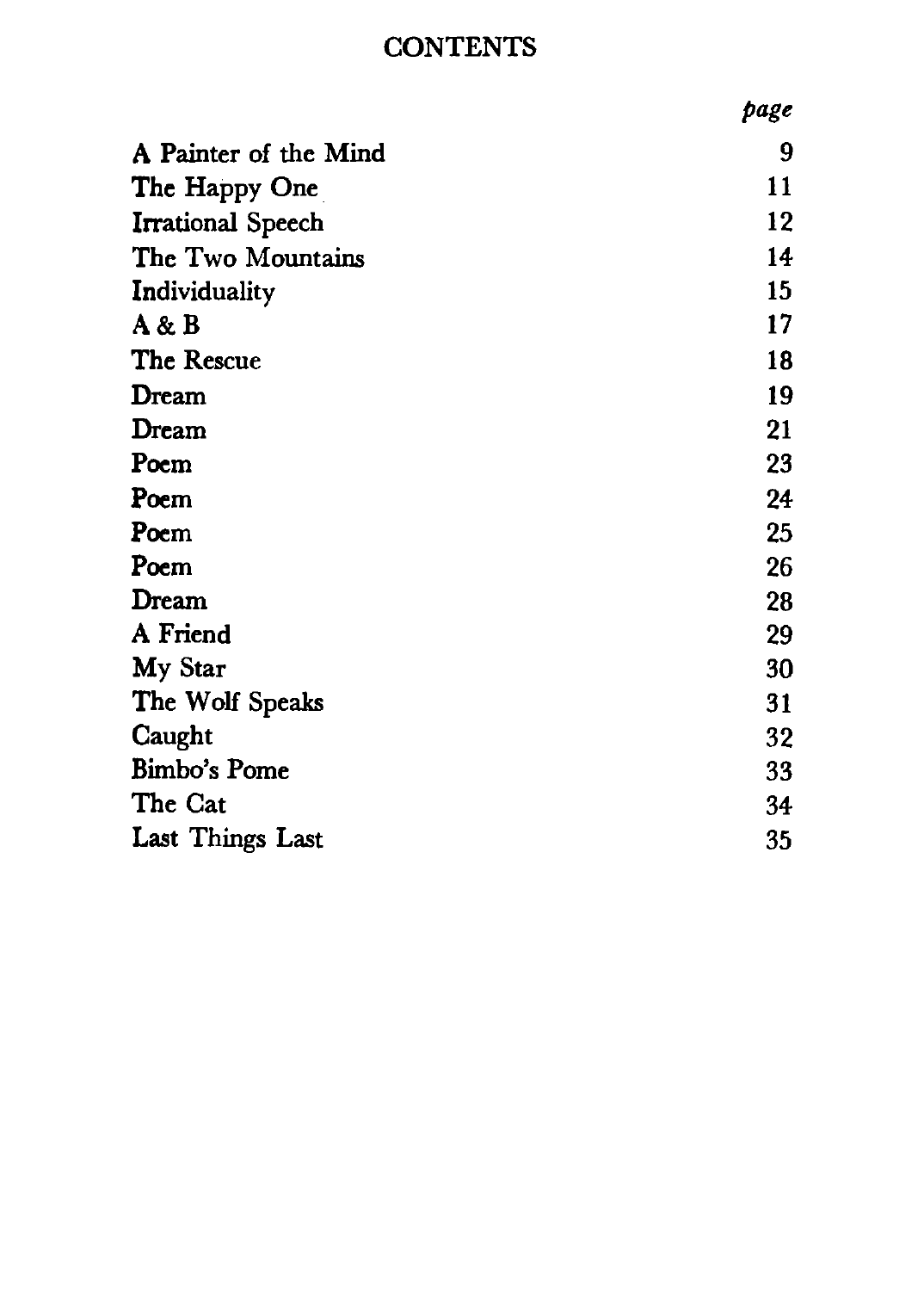#### **CONTENTS**

|                       | page |
|-----------------------|------|
| A Painter of the Mind | 9    |
| The Happy One         | 11   |
| Irrational Speech     | 12   |
| The Two Mountains     | 14   |
| Individuality         | 15   |
| A & B                 | 17   |
| The Rescue            | 18   |
| Dream                 | 19   |
| Dream                 | 21   |
| Poem                  | 23   |
| Poem                  | 24   |
| Poem                  | 25   |
| Poem                  | 26   |
| Dream                 | 28   |
| A Friend              | 29   |
| My Star               | 30   |
| The Wolf Speaks       | 31   |
| Caught                | 32   |
| Bimbo's Pome          | 33   |
| The Cat               | 34   |
| Last Things Last      | 35   |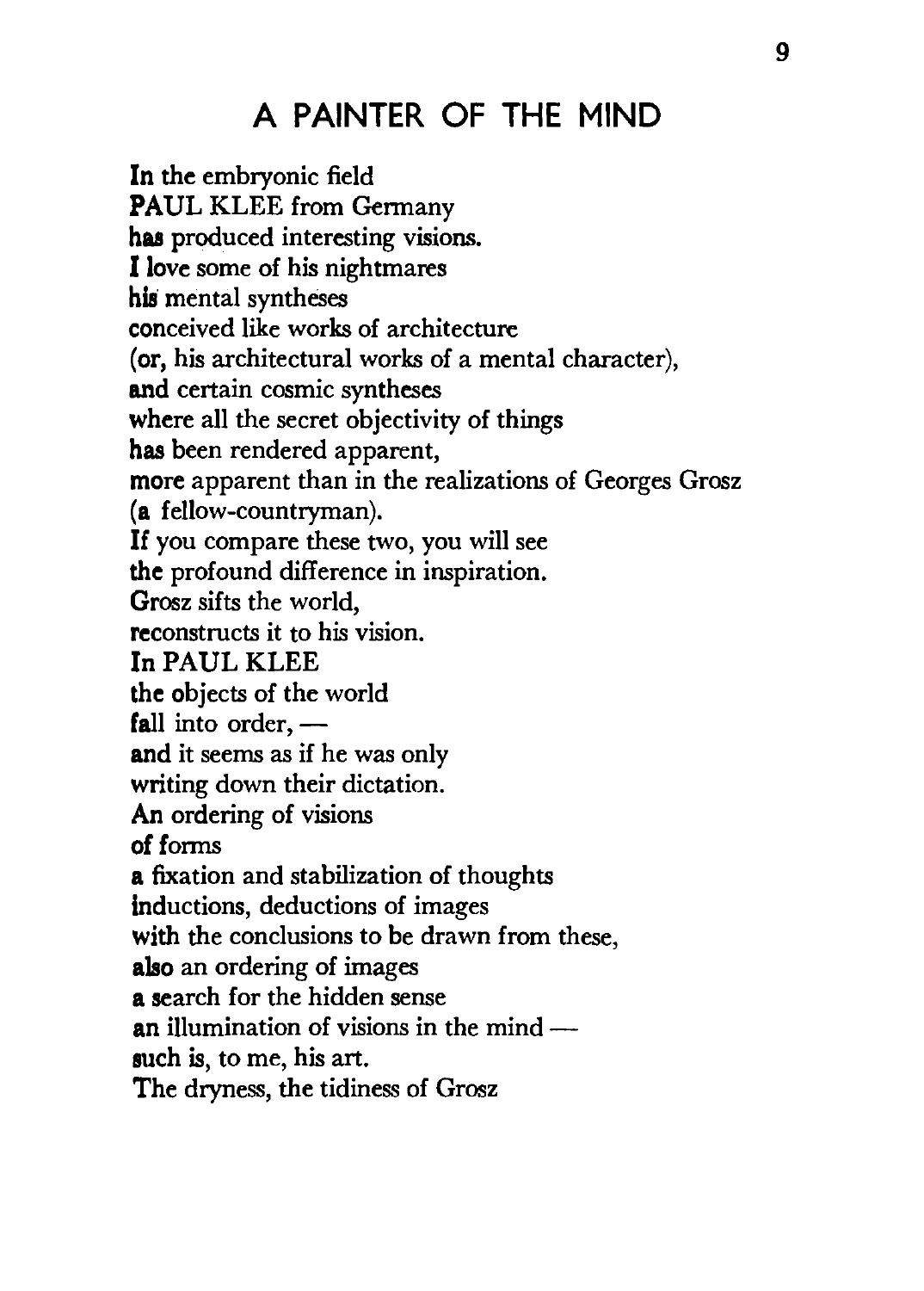#### A PAINTER OF THE MIND

In the embryonic field PAUL KLEE from Germany has produced interesting visions. I love some of his nightmares his mental syntheses conceived like works of architecture (or, his architectural works of a mental character), and certain cosmic syntheses where all the secret objectivity of things has been rendered apparent, more apparent than in the realizations of Georges Grosz (a fellow-countryman). If you compare these two, you will see the profound difference in inspiration. Grosz sifts the world, reconstructs it to his vision. In PAUL KLEE the objects of the world fall into order,  $$ and it seems as if he was only writing down their dictation. An ordering of visions of forms a fixation and stabilization of thoughts inductions, deductions of images with the conclusions to be drawn from these, also an ordering of images a search for the hidden sense an illumination of visions in the mind  $$ such is, to me, his art. The dryness, the tidiness of Grosz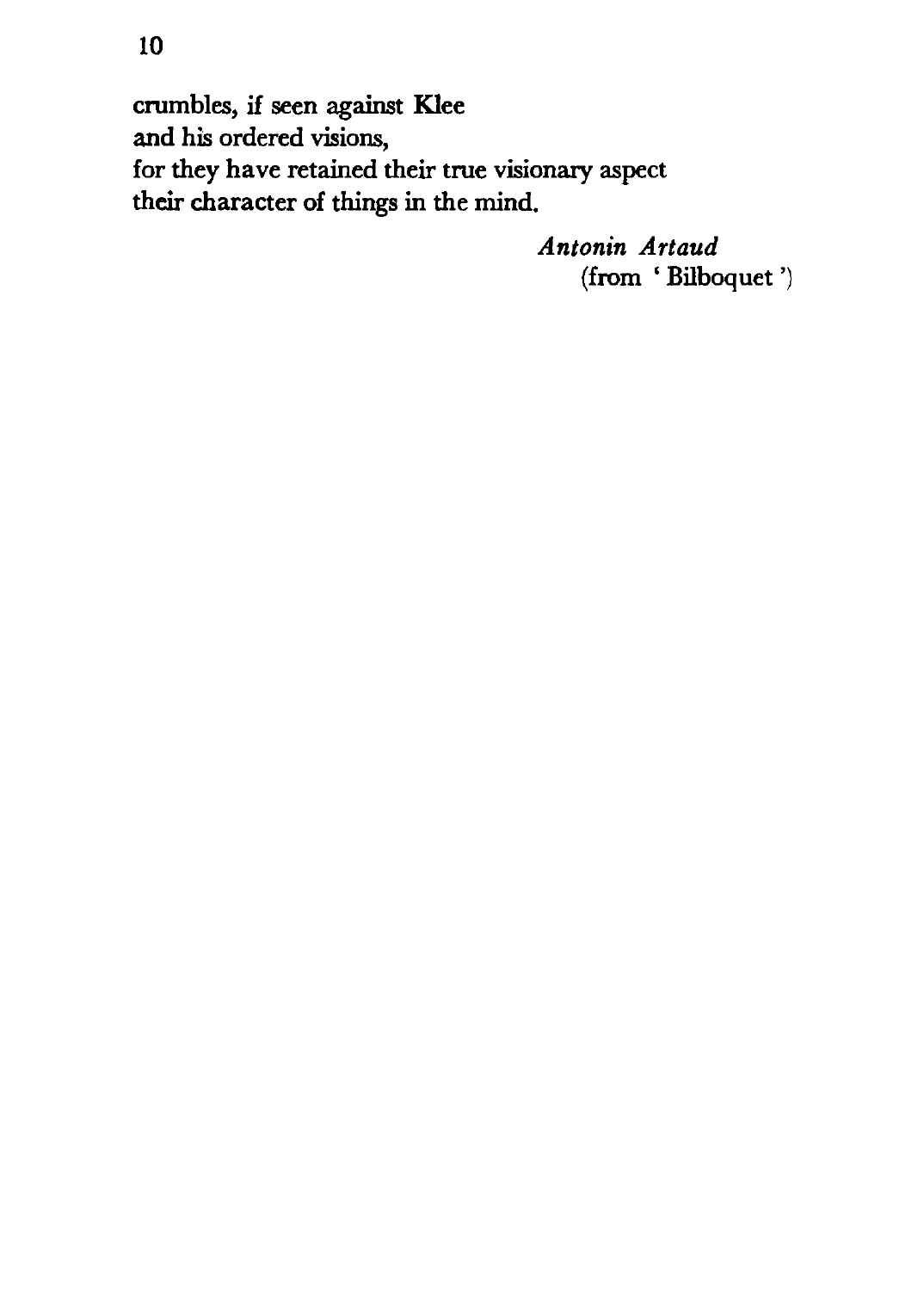crumbles, if seen against Klee and his ordered visions, for they have retained their true visionary aspect their character of things in the mind.

> *Antonin Artaud*  (from ' Bilboquet ')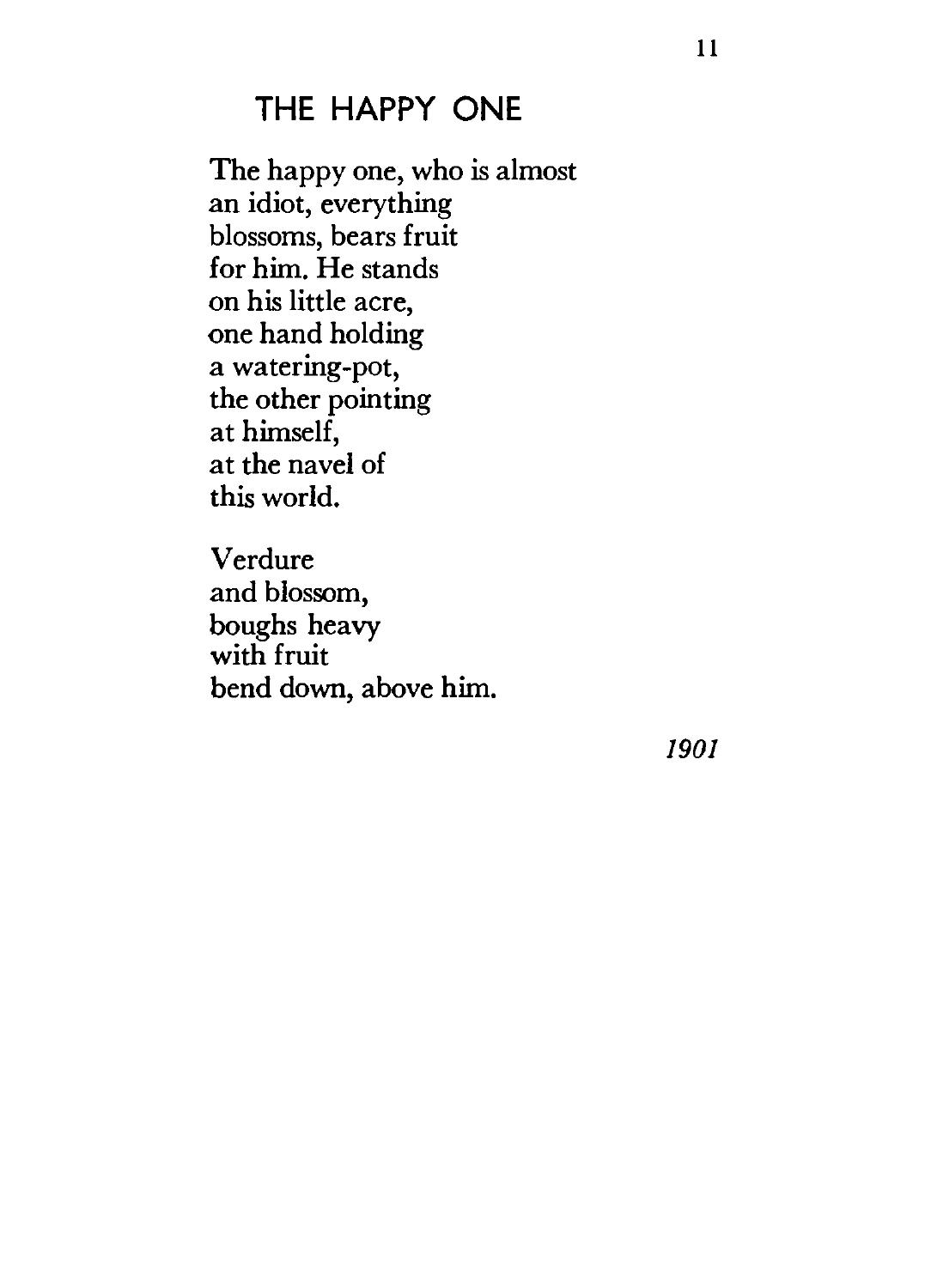#### **THE HAPPY ONE**

The happy one, who is almost an idiot, everything blossoms, bears fruit for him. He stands on his little acre, one hand holding a watering-pot, the other pointing at himself, at the navel of this world.

Verdure and blossom, boughs heavy with fruit bend down, above him.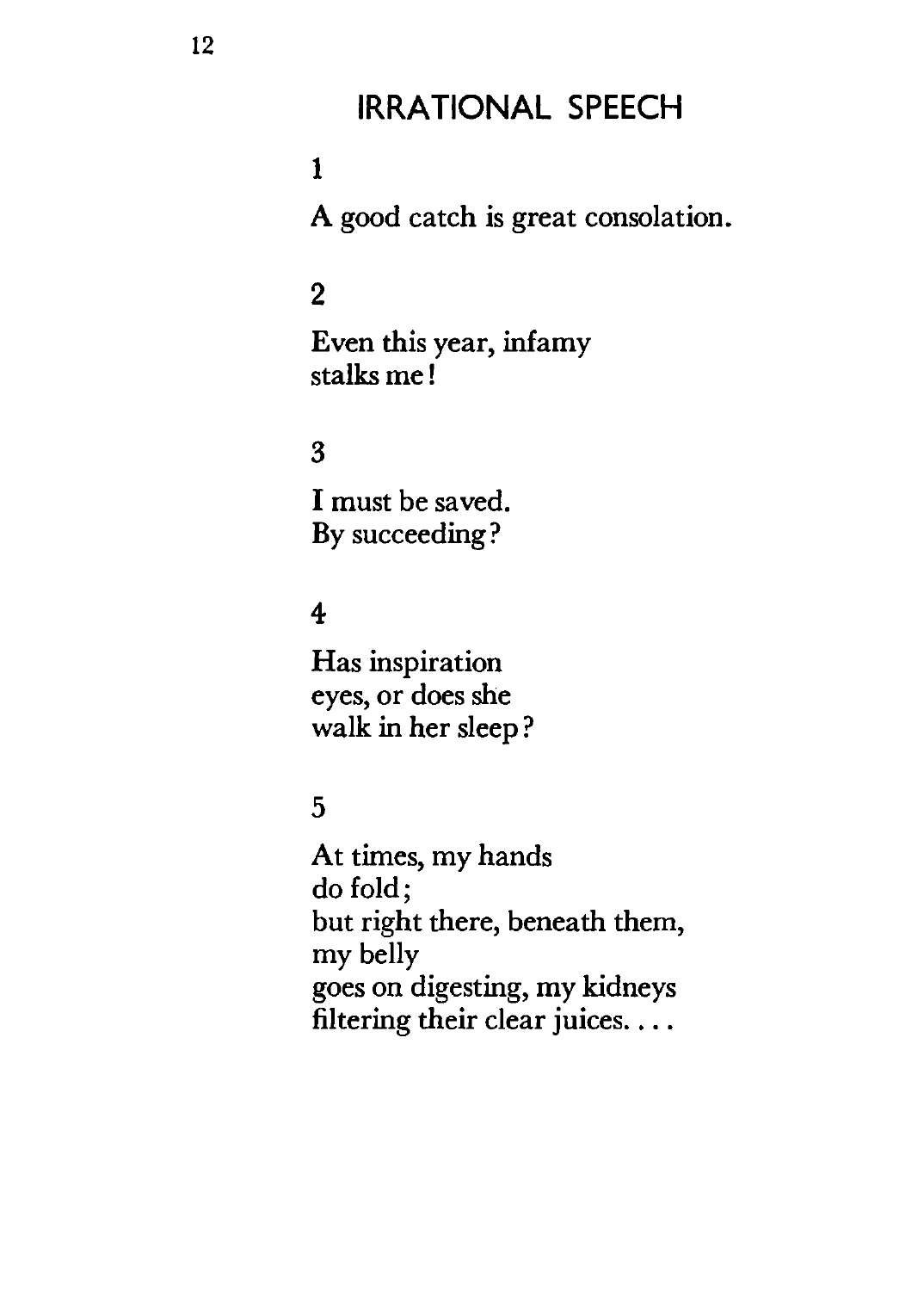#### **IRRATIONAL SPEECH**

#### **1**

A good catch is great consolation.

#### 2

Even this year, infamy stalks me!

#### 3

I must be saved. By succeeding?

#### 4

Has inspiration eyes, or does she walk in her sleep?

#### 5

At times, my hands do fold; but right there, beneath them, my belly goes on digesting, my kidneys filtering their clear juices....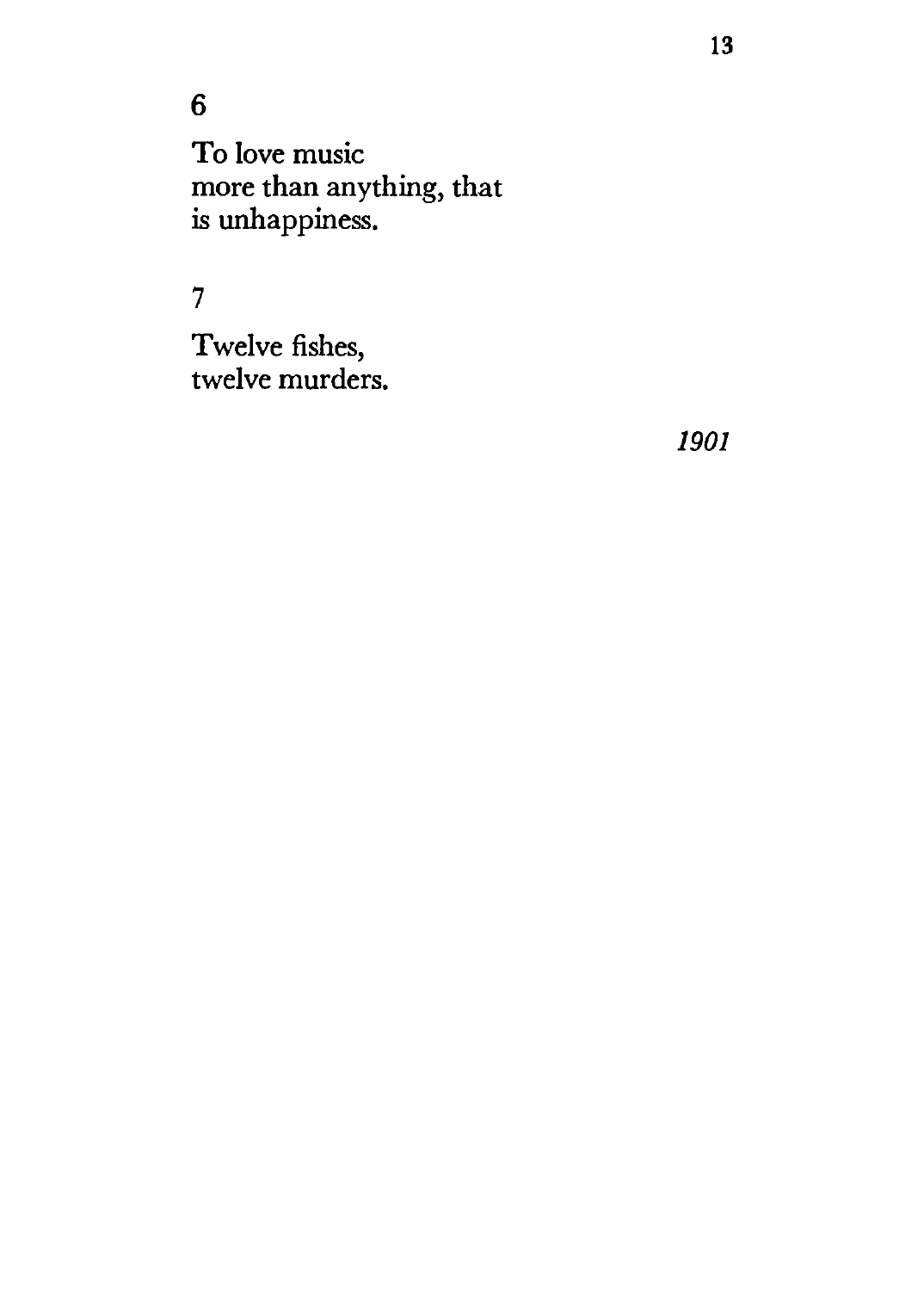#### 6

To love music more than anything, that is unhappiness.

#### 7

Twelve fishes, twelve murders.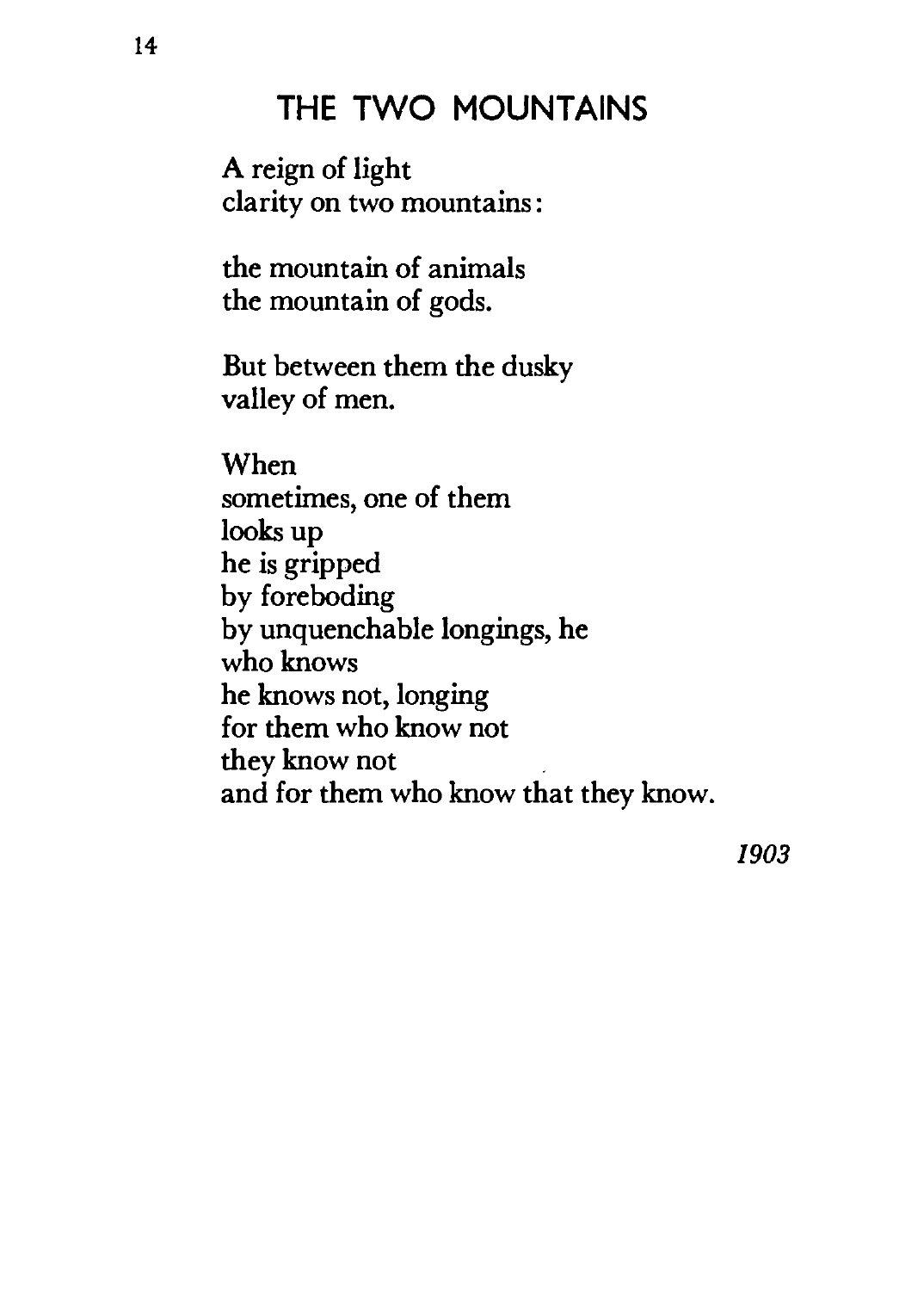#### **THE TWO MOUNTAINS**

A reign of light clarity on two mountains :

the mountain of animals the mountain of gods.

But between them the dusky valley of men.

When sometimes, one of them looks up he is gripped by foreboding by unquenchable longings, he who knows he knows not, longing for them who know not they know not and for them who know that they know.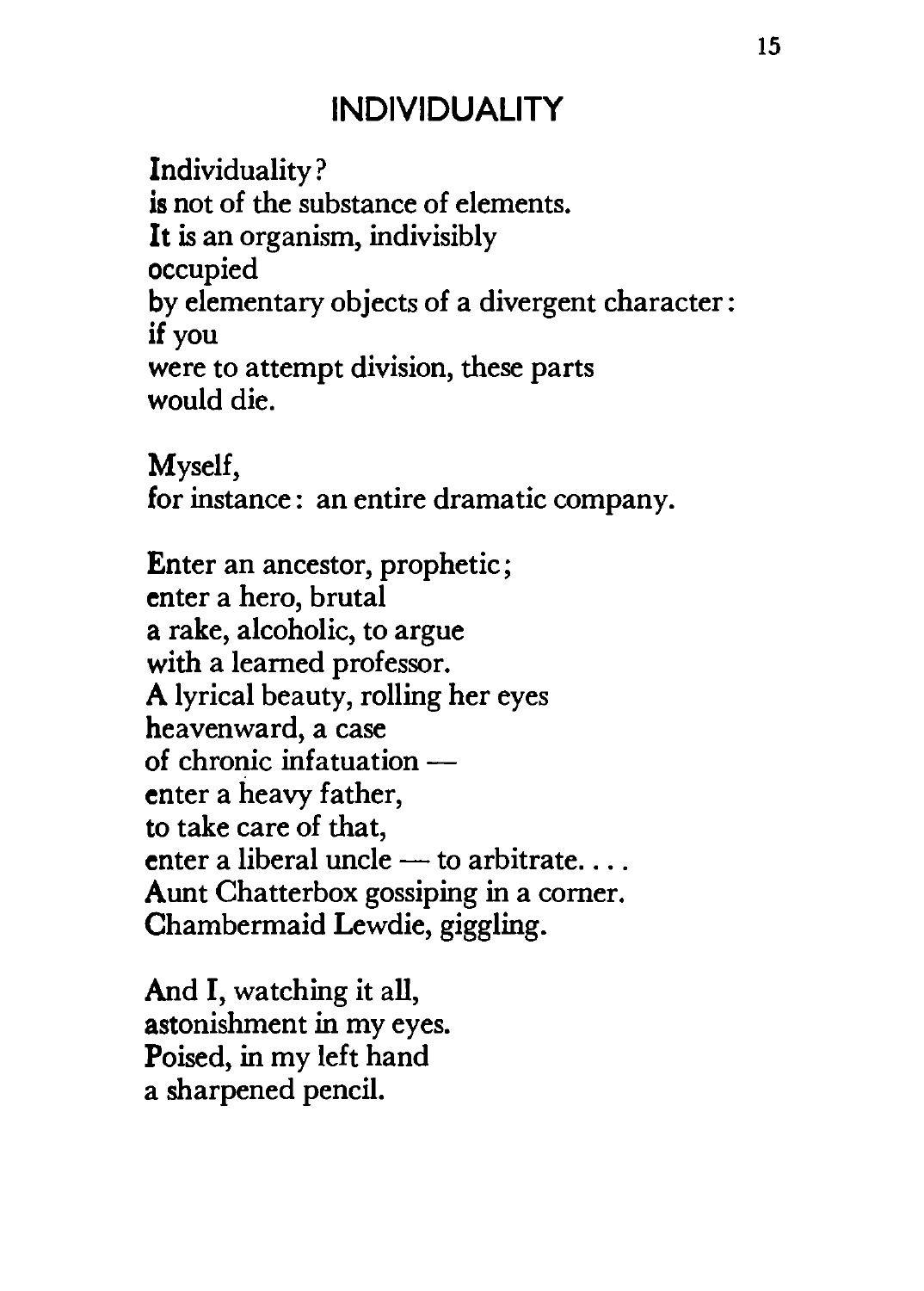#### **INDIVIDUALITY**

Individuality? is not of the substance of elements. It is an organism, indivisibly occupied by elementary objects of a divergent character: if you were to attempt division, these parts would die.

Myself, for instance: an entire dramatic company.

Enter an ancestor, prophetic; enter a hero, brutal a rake, alcoholic, to argue with a learned professor. A lyrical beauty, rolling her eyes heavenward, a case of chronic infatuationenter a heavy father, to take care of that, enter a liberal uncle  $-$  to arbitrate... Aunt Chatterbox gossiping in a comer. Chambermaid Lewdie, giggling.

And I, watching it all, astonishment in my eyes. Poised, in my left hand a sharpened pencil.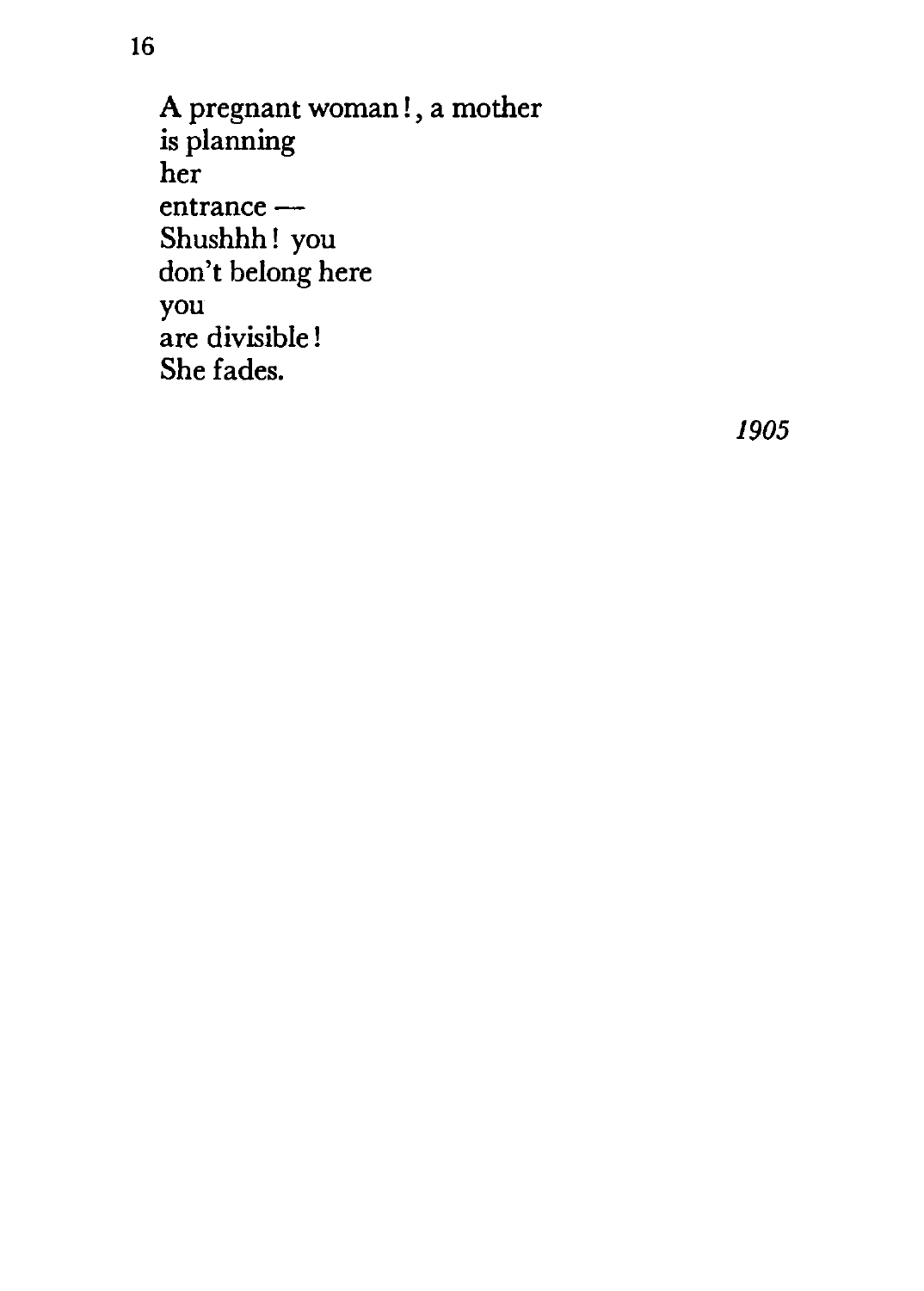A pregnant woman!, a mother is planning her entrance-Shushhh! you don't belong here you are divisible ! She fades.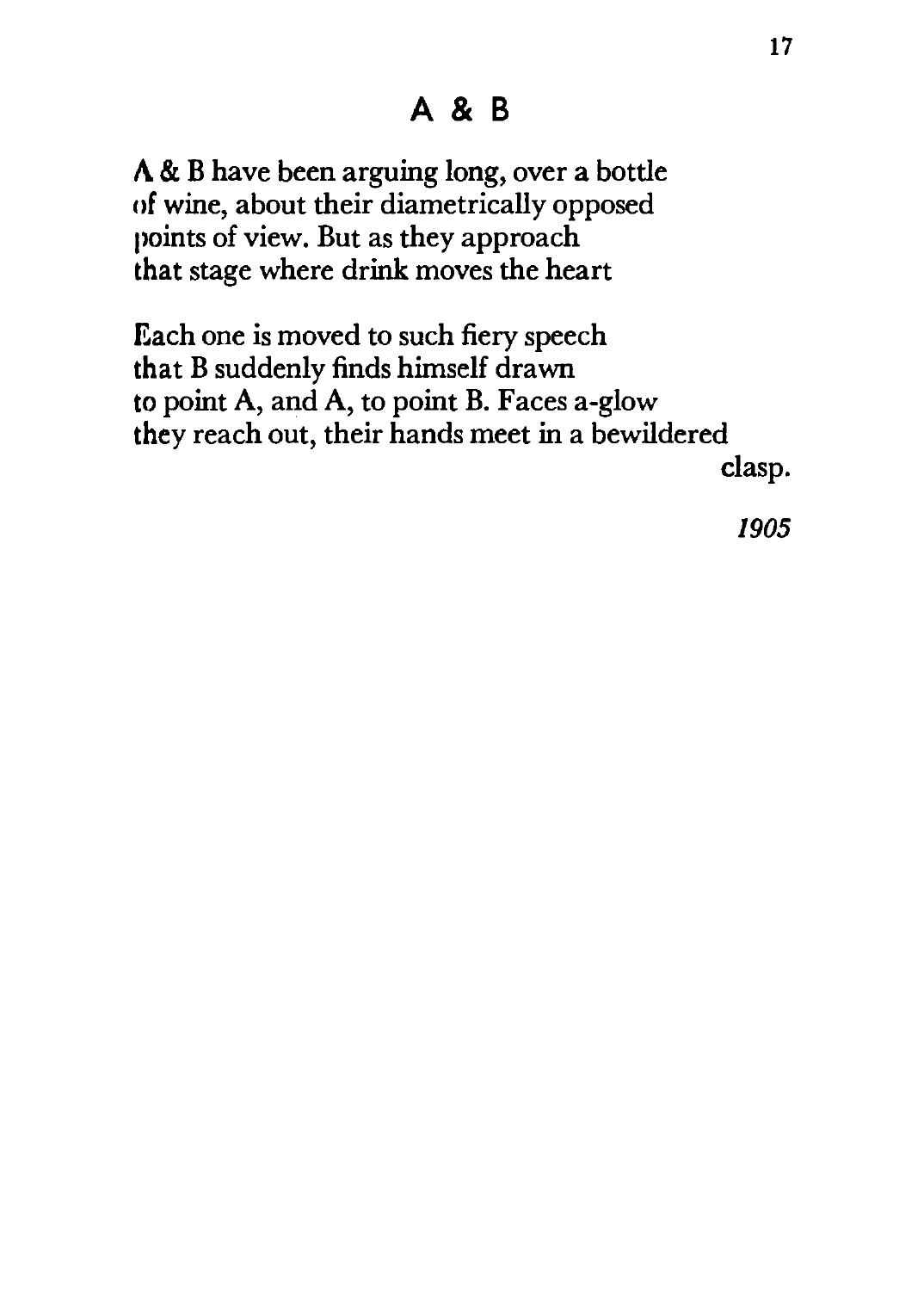A & B have been arguing long, over a bottle of wine, about their diametrically opposed points of view. But as they approach that stage where drink moves the heart

Each one is moved to such fiery speech that B suddenly finds himself drawn to point A, and A, to point B. Faces a-glow they reach out, their hands meet in a bewildered

clasp.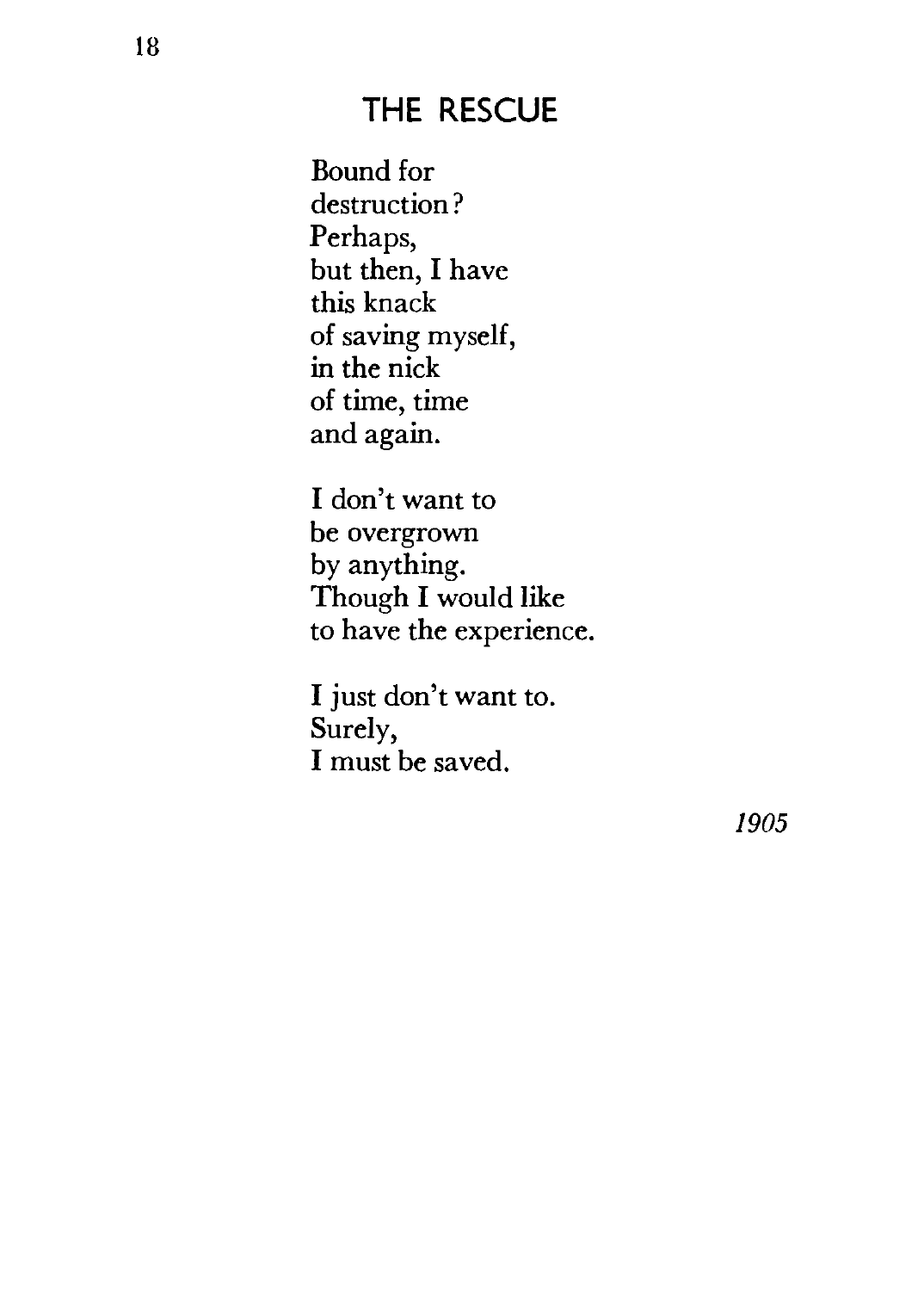#### **THE RESCUE**

Bound for destruction? Perhaps, but then, I have this knack of saving myself, in the nick of time, time and again.

I don't want to be overgrown by anything. Though I would like to have the experience.

I just don't want to. Surely, I must be saved.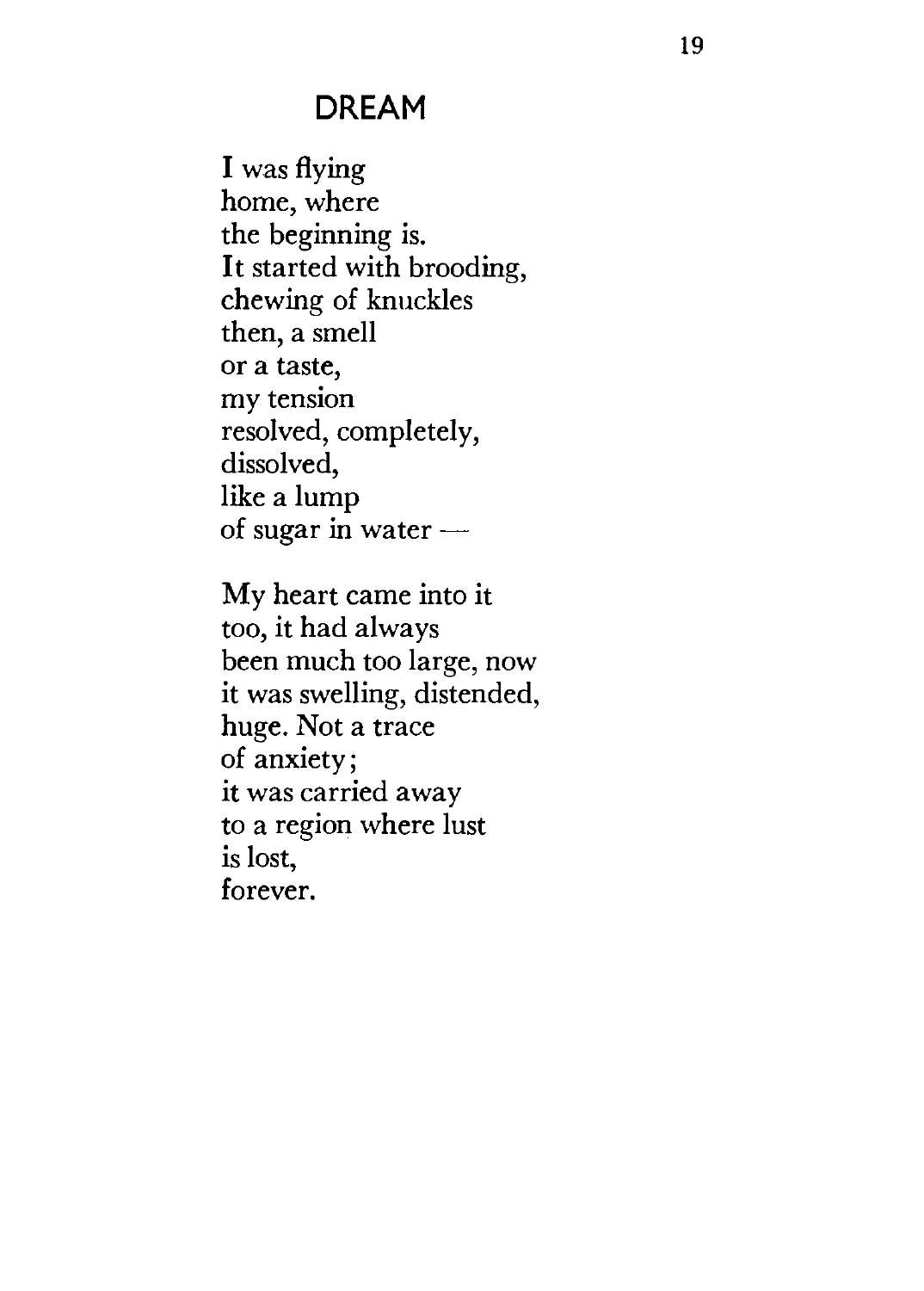#### **DREAM**

I was flying home, where the beginning is. It started with brooding, chewing of knuckles then, a smell or a taste, my tension resolved, completely, dissolved, like a lump of sugar in water -

My heart came into it too, it had always been much too large, now it was swelling, distended, huge. Not a trace of anxiety; it was carried away to a region where lust is lost, forever.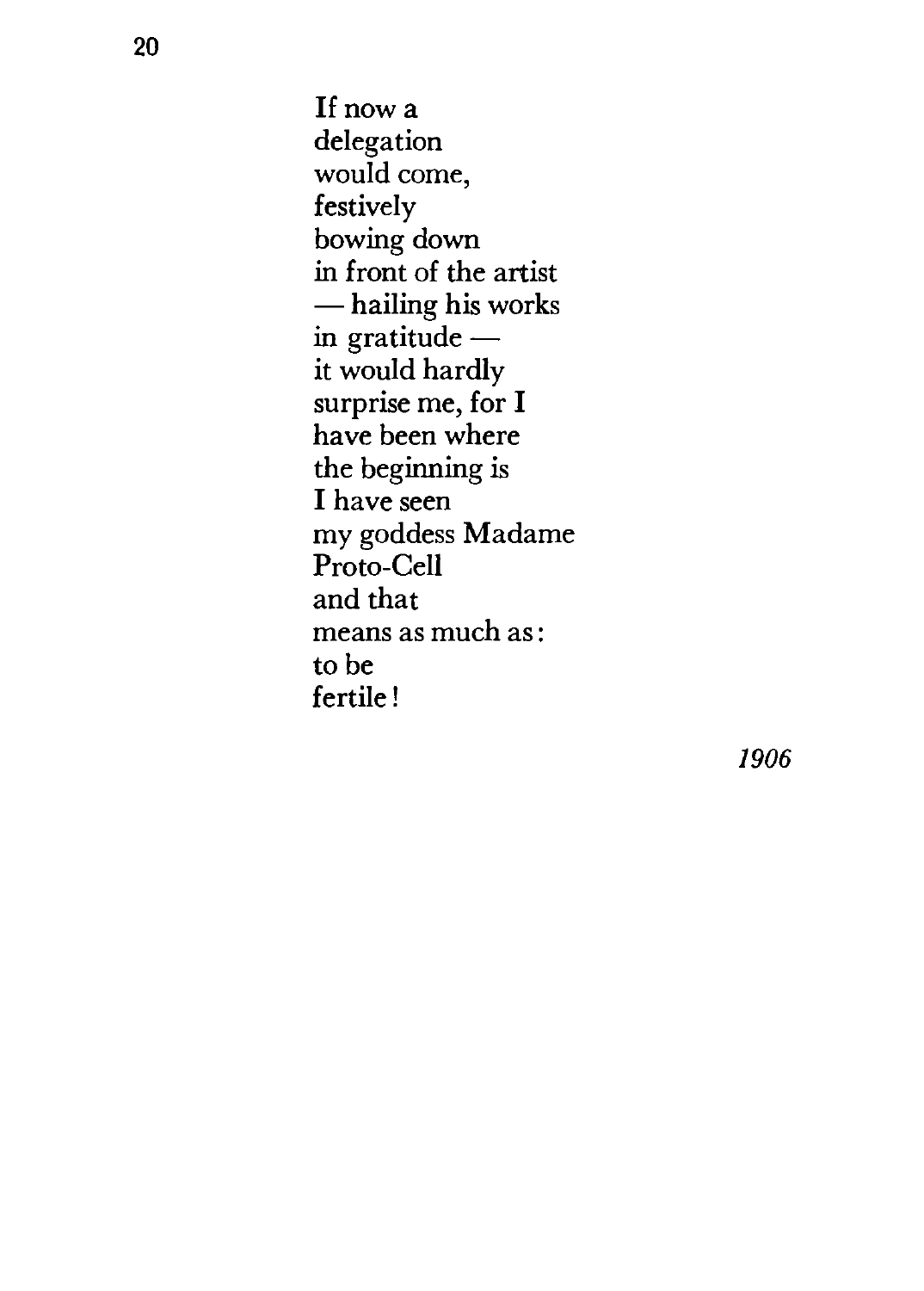If now a delegation would come, festively bowing down<br>in front of the artist - hailing his works in gratitude $$ it would hardly surprise me, for I have been where the beginning is I have seen my goddess Madame Proto-Cell and that means as much as: to be fertile!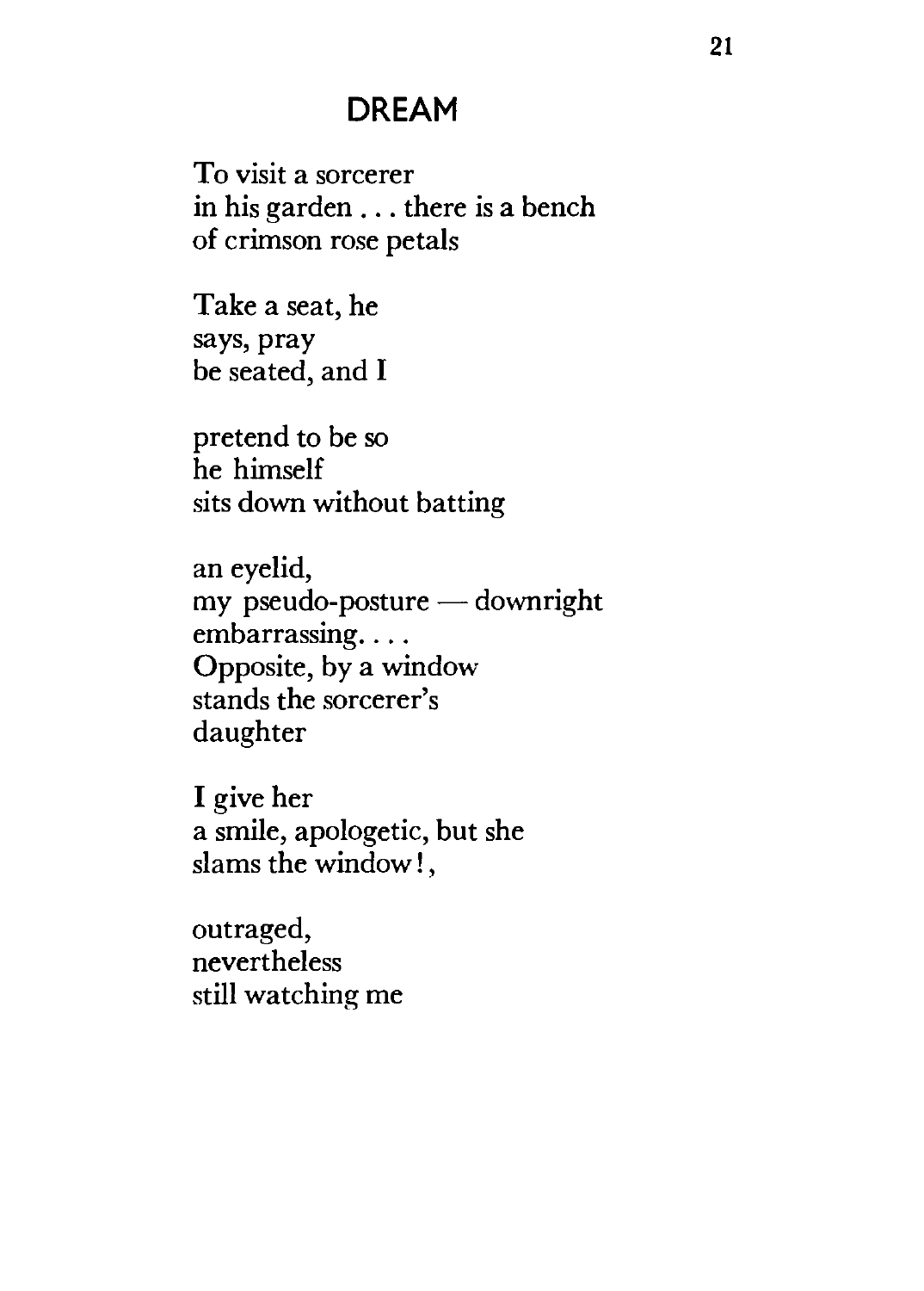#### **DREAM**

To visit a sorcerer in his garden ... there is a bench of crimson rose petals

Take a seat, he says, pray be seated, and I

pretend to be so he himself sits down without batting

an eyelid, my pseudo-posture $-$  downright embarrassing.... Opposite, by a window stands the sorcerer's daughter

I give her a smile, apologetic, but she slams the window! ,

outraged, nevertheless still watching me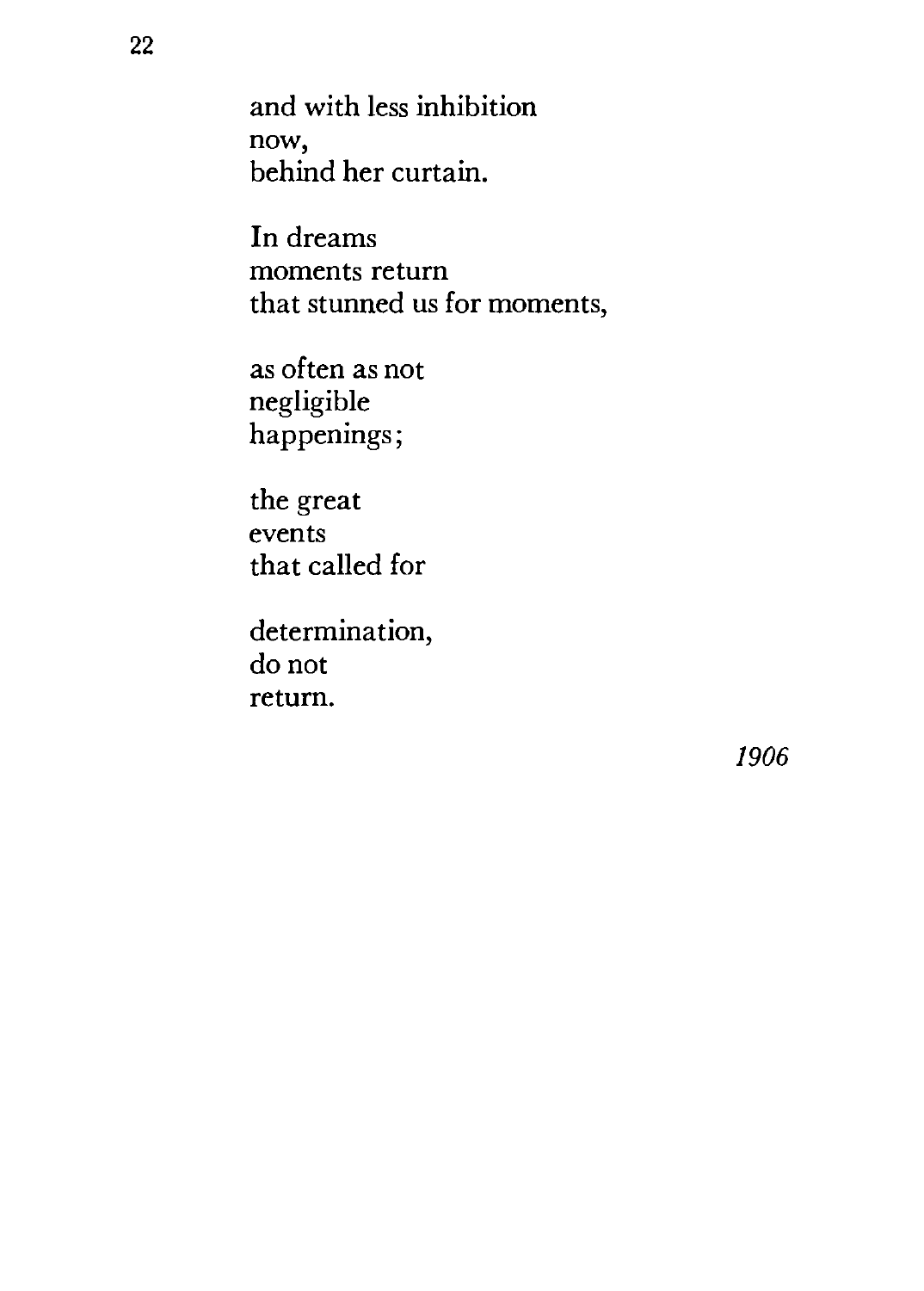and with less inhibition now, behind her curtain.

In dreams moments return that stunned us for moments,

as often as not negligible happenings;

the great events that called for

determination, do not return.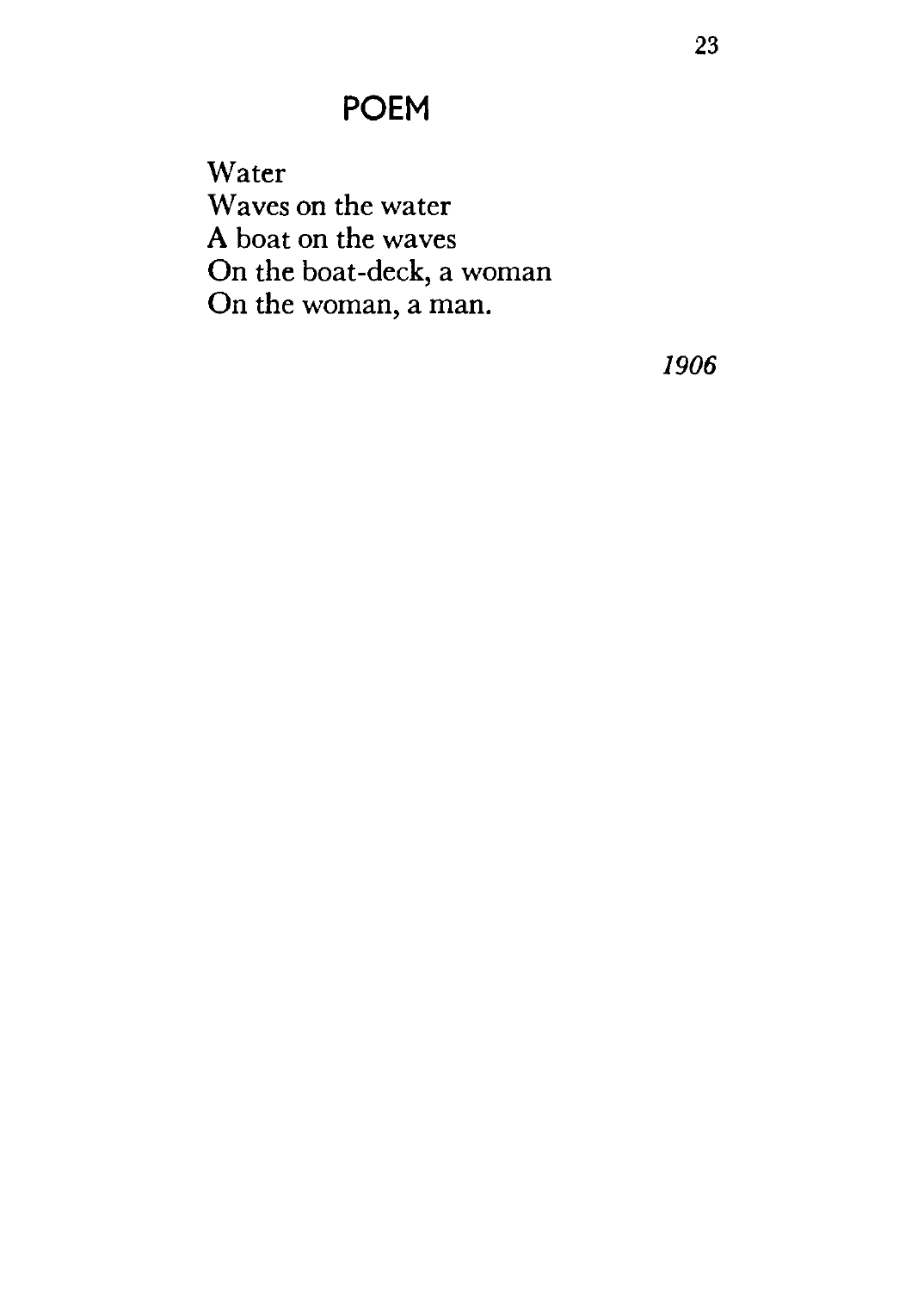Water Waves on the water A boat on the waves On the boat-deck, a woman On the woman, a man.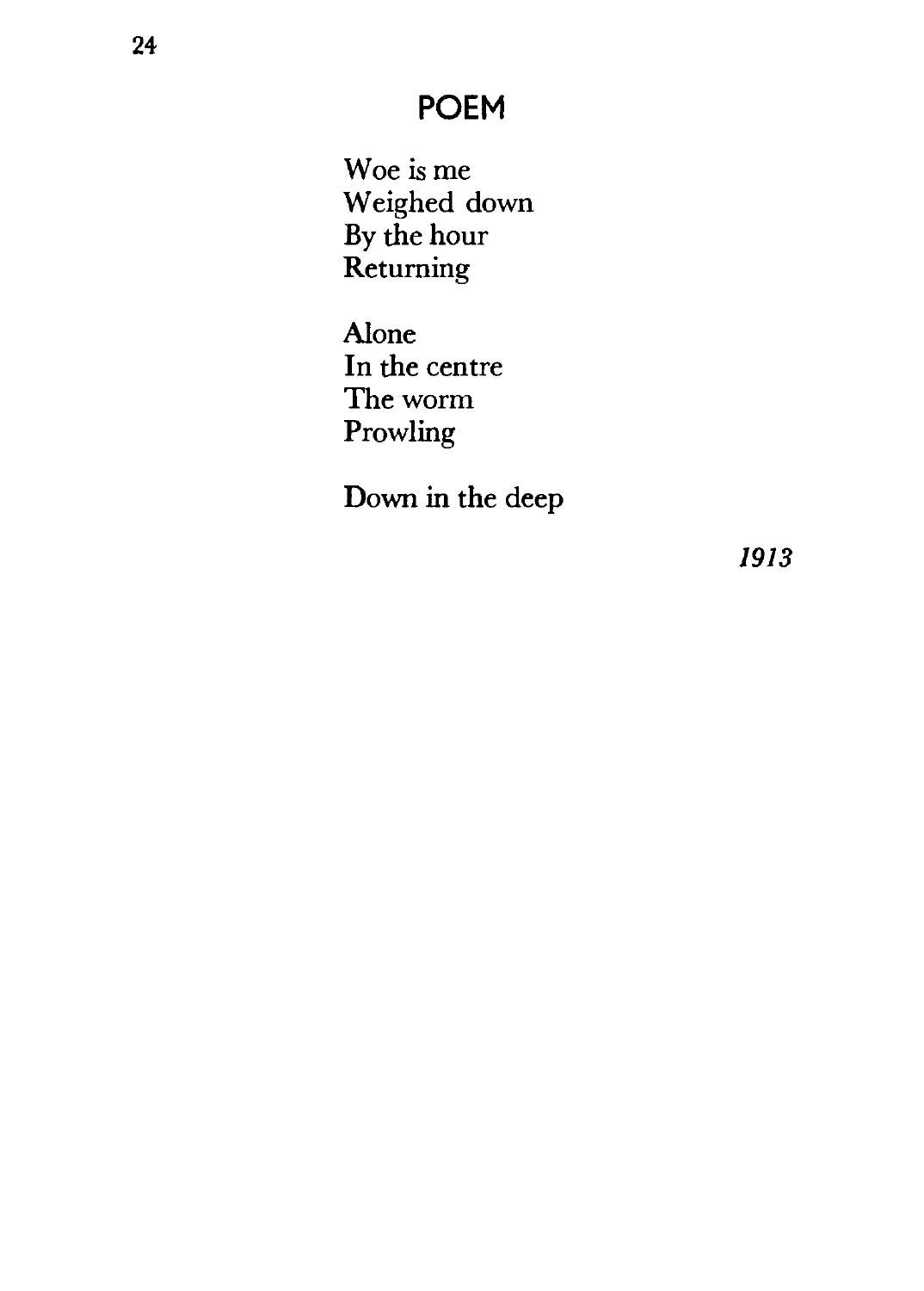Woe is me Weighed down By the hour Returning

Alone In the centre The worm Prowling

Down in the deep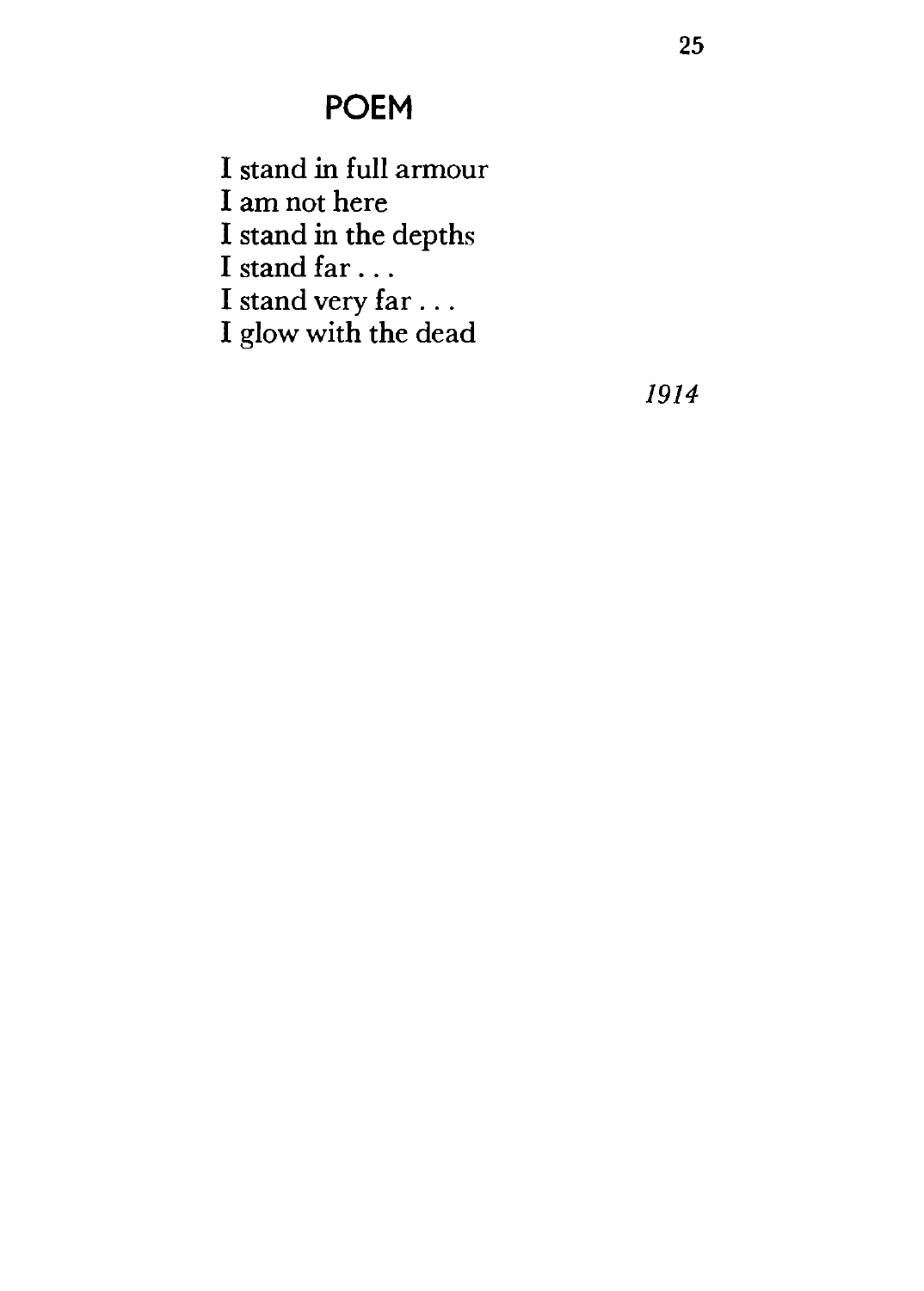I stand in full armour

I am not here

I stand in the depths

I stand far ...

I stand very far ...

I glow with the dead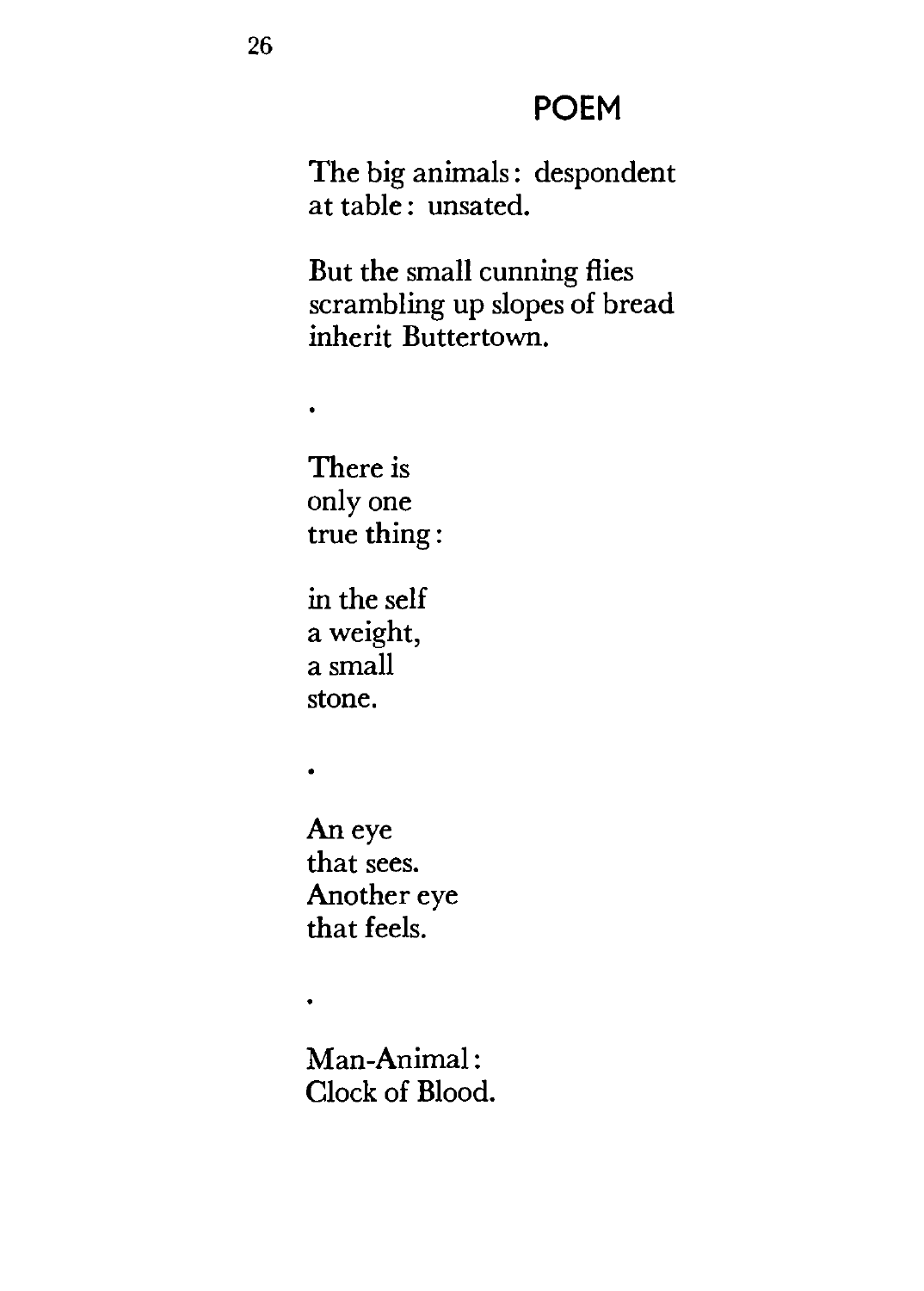The big animals: despondent at table: unsated.

But the small cunning flies scrambling up slopes of bread inherit Buttertown.

There is only one true thing:

 $\bullet$ 

 $\bullet$ 

 $\bullet$ 

in the self a weight, a small stone.

An eye that sees. Another eye that feels.

Man-Animal: Clock of Blood.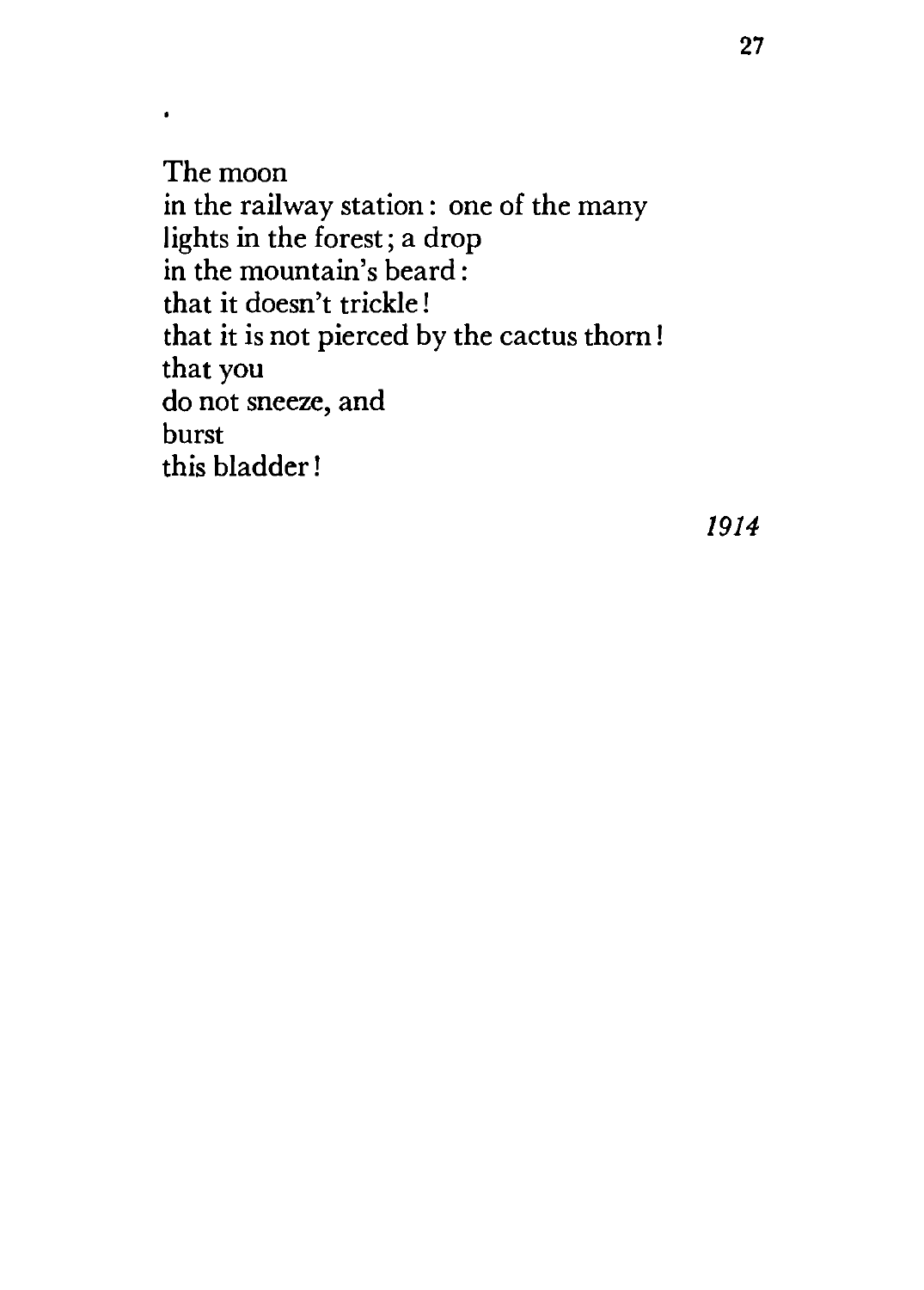The moon in the railway station: one of the many lights in the forest; a drop in the mountain's beard: that it doesn't trickle! that it is not pierced by the cactus thorn! that you do not sneeze, and burst this bladder !

 $\bullet$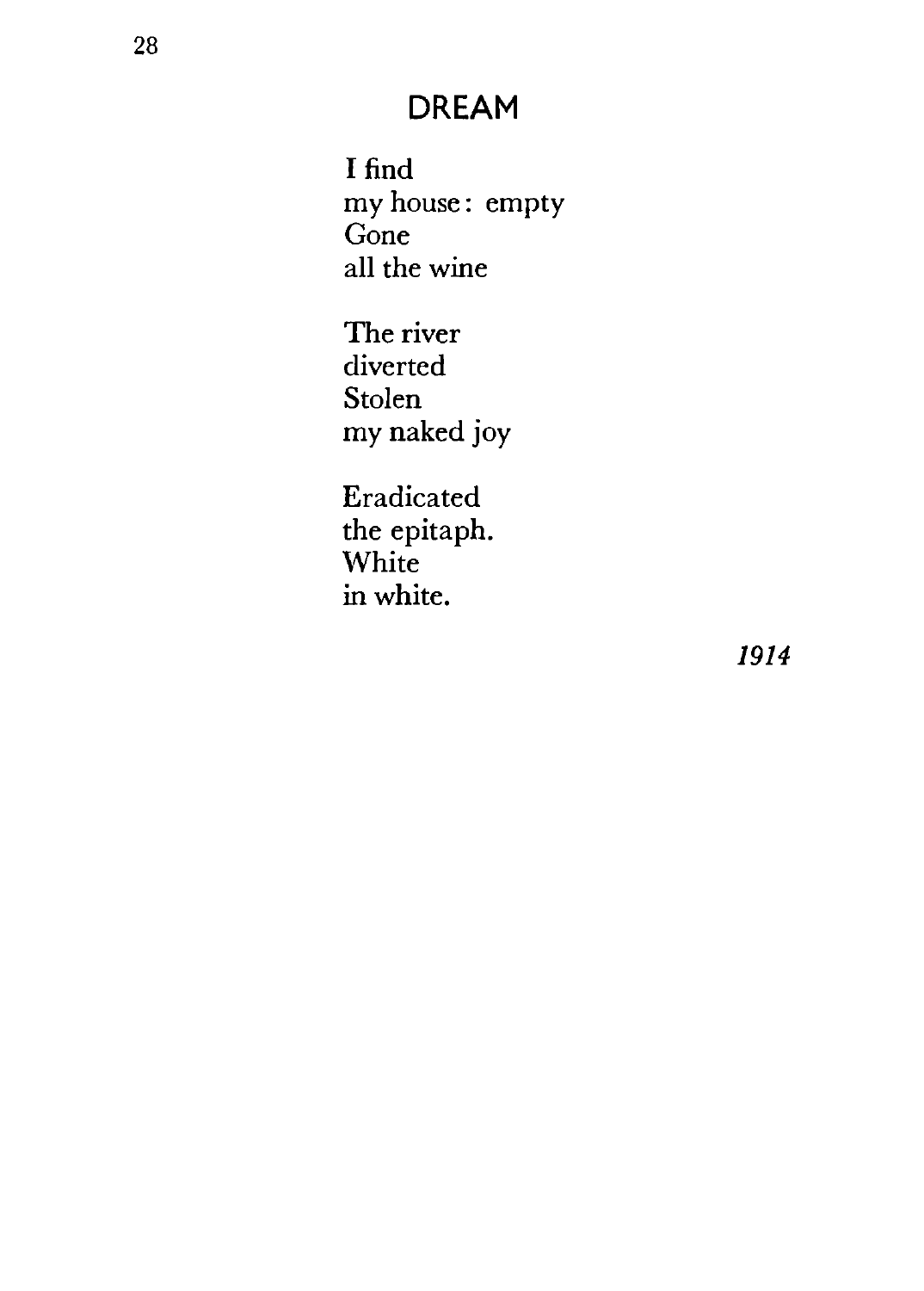#### **DREAM**

I find my house : empty Gone all the wine

The river diverted Stolen my naked joy

Eradicated the epitaph. White in white.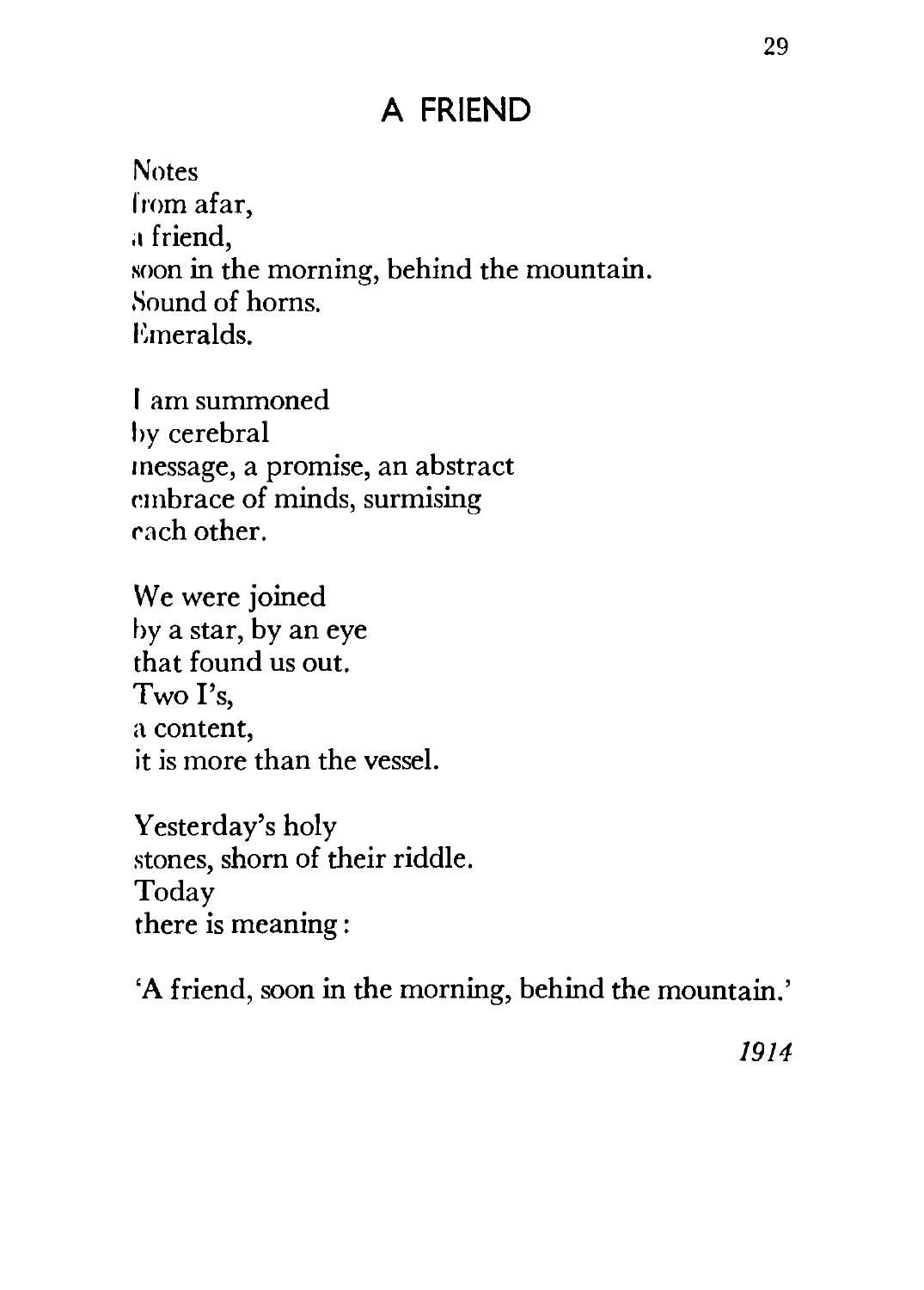#### **A FRIEND**

Notes from afar, a friend, soon in the morning, behind the mountain. Sound of horns. Emeralds.

I am summoned by cerebral message, a promise, an abstract embrace of minds, surmising ~ch other.

We were joined by a star, by an eye that found us out. Two I's, a content, it is more than the vessel.

Yesterday's holy stones, shorn of their riddle. Today there is meaning :

'A friend, soon in the morning, behind the mountain.'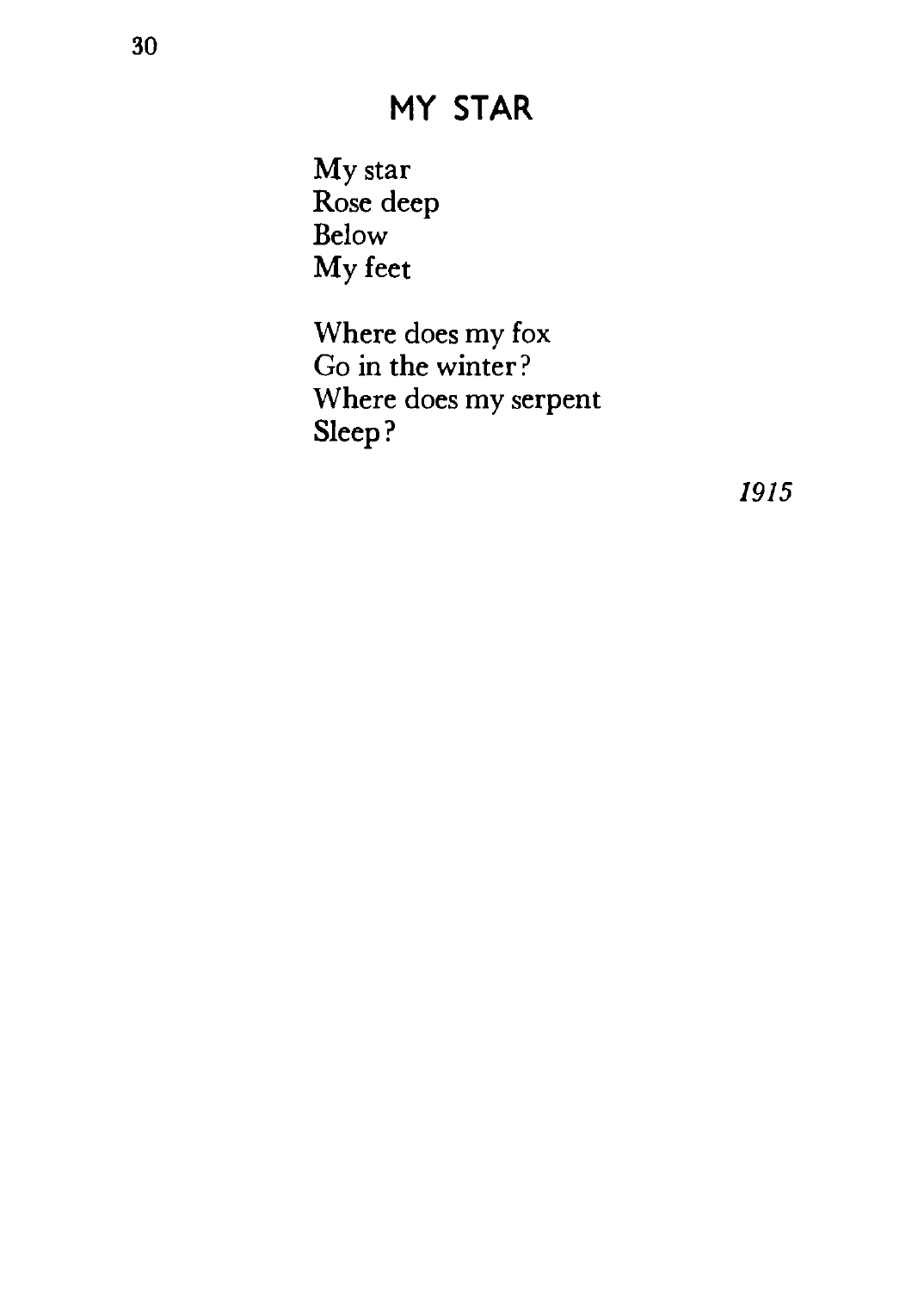#### **MY STAR**

My star Rose deep Below My feet

Where does my fox Go in the winter? Where does my serpent Sleep?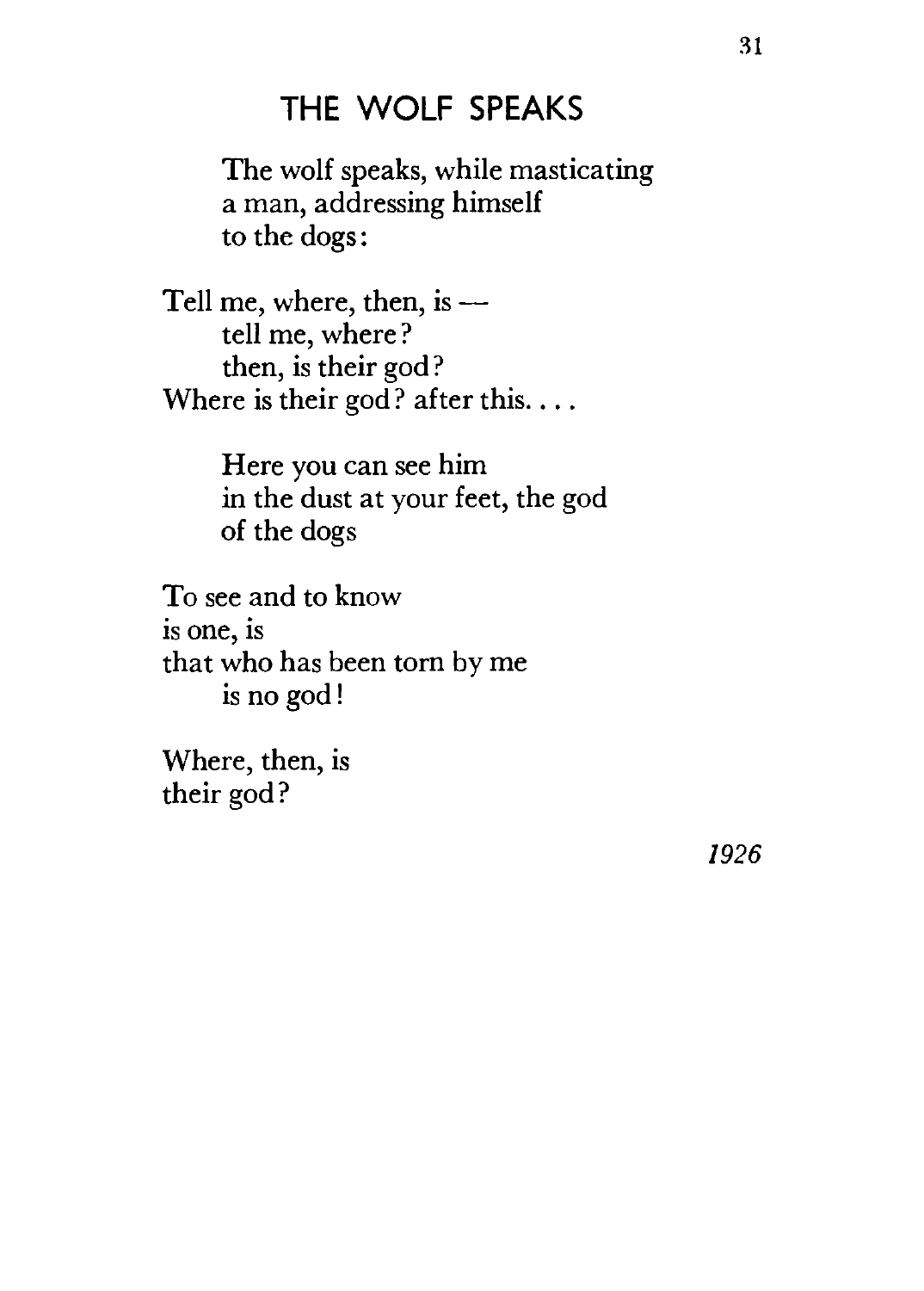#### **THE WOLF SPEAKS**

The wolf speaks, while masticating a man, addressing himself to the dogs:

Tell me, where, then, is  $$ tell me, where ? then, is their god? Where is their god? after this....

> Here you can see him in the dust at your feet, the god of the dogs

To see and to know<br>is one, is that who has been torn by me is no god!

Where, then, is their god?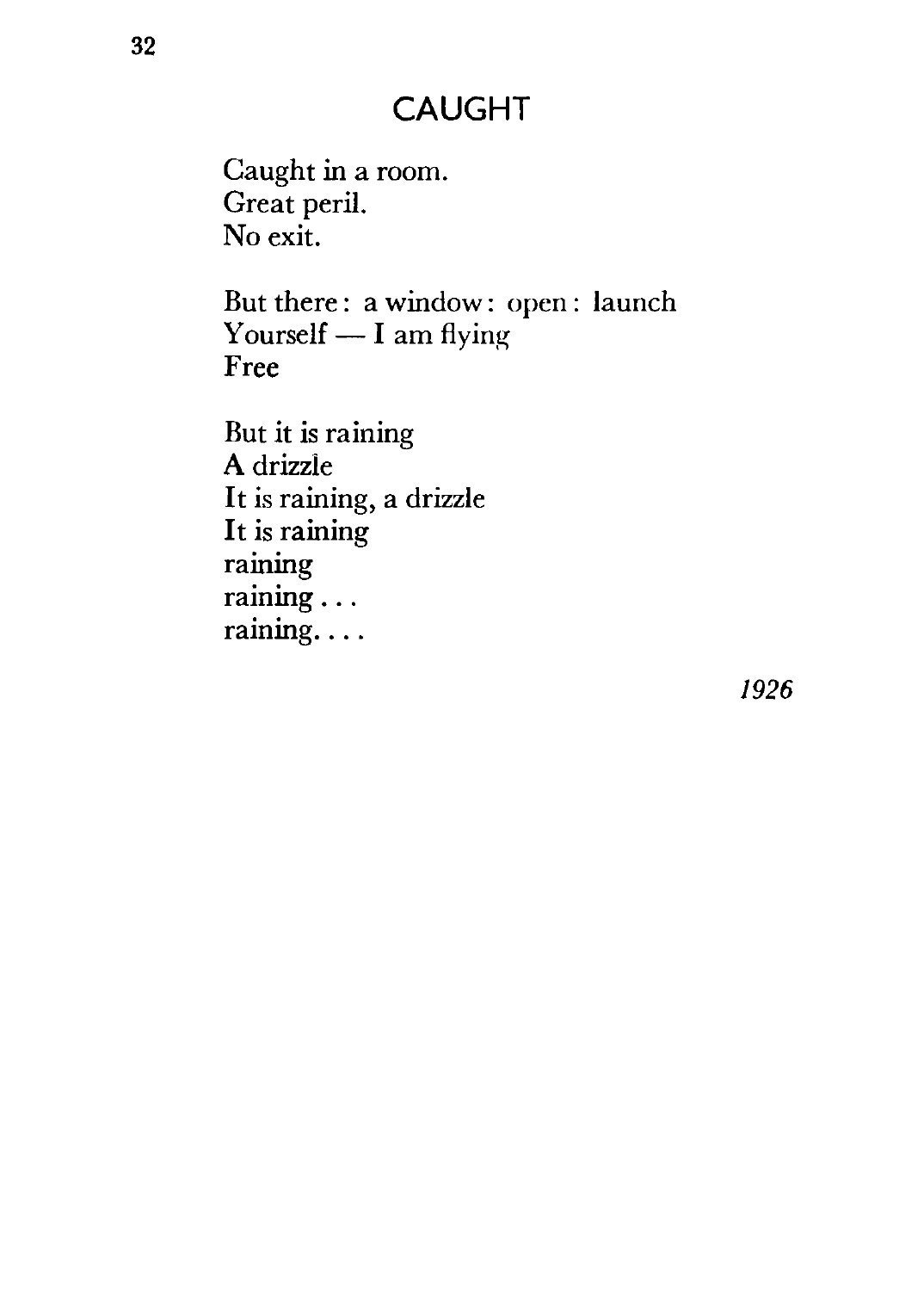#### **CAUGHT**

Caught in a room. Great peril. No exit.

But there : a window: open : launch Yourself  $- I$  am flying Free

But it is raining A drizzle It is raining, a drizzle It is raining raining raining ... raining....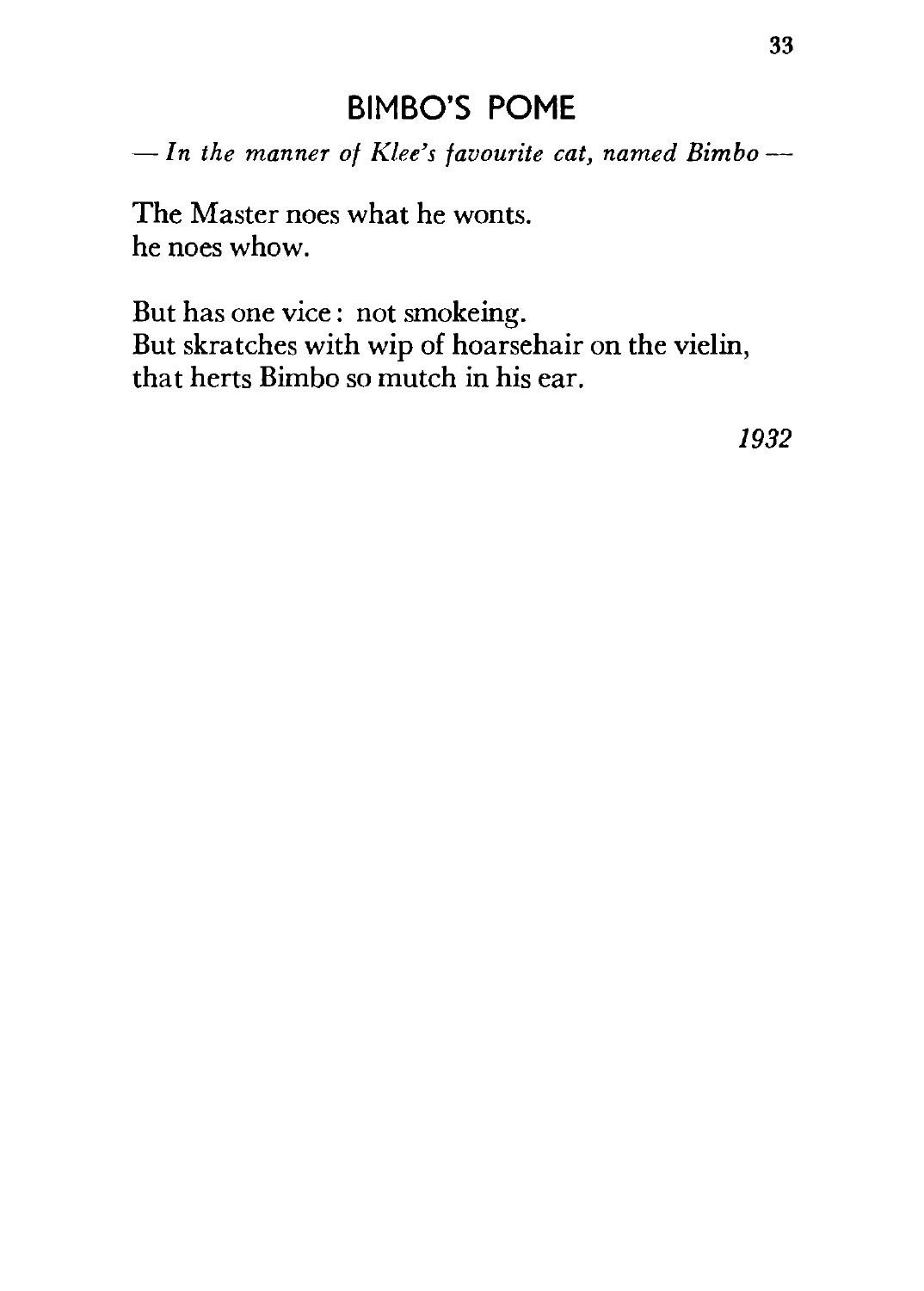#### **BIMBO'S POME**

*-In the manner of Klee's favourite cat, named Bimbo--*

The Master noes what he wonts. he noes whow.

But has one vice: not smokeing. But skratches with wip of hoarsehair on the vielin, that herts Bimbo so mutch in his ear.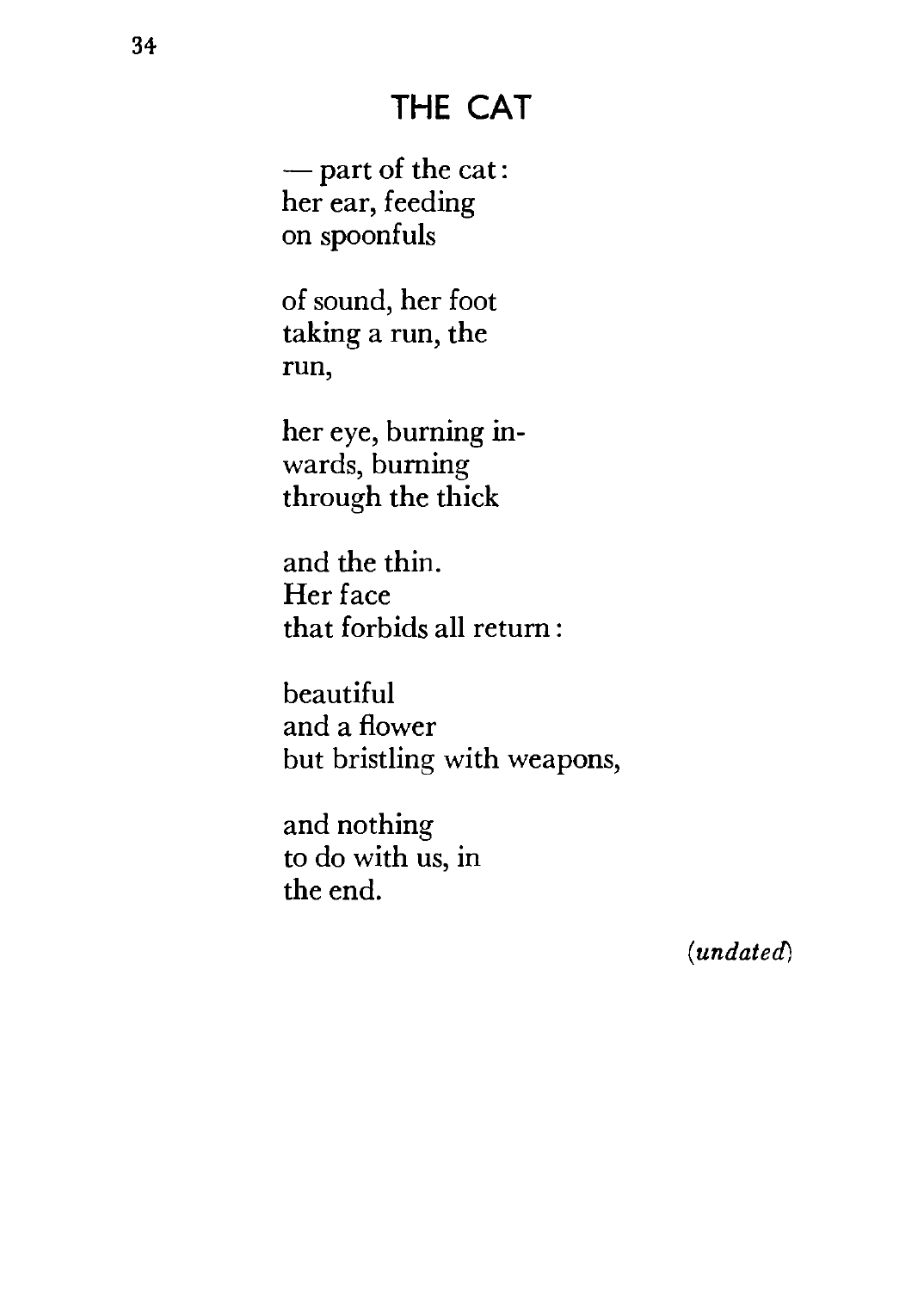#### **THE CAT**

 $-$  part of the cat: her ear, feeding on spoonfuls

of sound, her foot taking a run, the run,

her eye, burning inwards, burning through the thick

and the thin. Her face that forbids all return:

beautiful and a flower but bristling with weapons,

and nothing to do with us, in the end.

*(undated)*